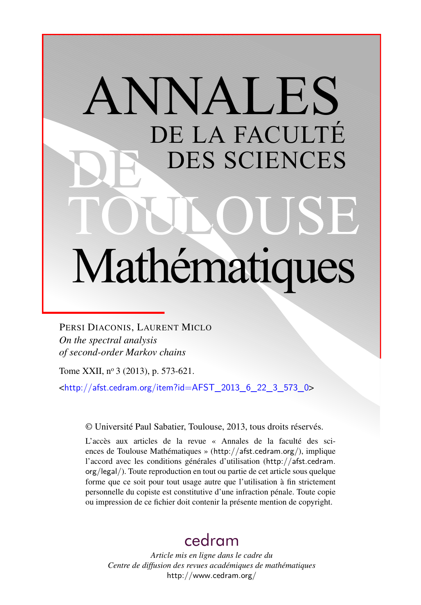# ANNALES DE LA FACULTÉ DES SCIENCES Mathématiques

PERSI DIACONIS, LAURENT MICLO *On the spectral analysis of second-order Markov chains*

Tome XXII, nº 3 (2013), p. 573-621.

<[http://afst.cedram.org/item?id=AFST\\_2013\\_6\\_22\\_3\\_573\\_0](http://afst.cedram.org/item?id=AFST_2013_6_22_3_573_0)>

© Université Paul Sabatier, Toulouse, 2013, tous droits réservés.

L'accès aux articles de la revue « Annales de la faculté des sciences de Toulouse Mathématiques » (<http://afst.cedram.org/>), implique l'accord avec les conditions générales d'utilisation ([http://afst.cedram.](http://afst.cedram.org/legal/) [org/legal/](http://afst.cedram.org/legal/)). Toute reproduction en tout ou partie de cet article sous quelque forme que ce soit pour tout usage autre que l'utilisation à fin strictement personnelle du copiste est constitutive d'une infraction pénale. Toute copie ou impression de ce fichier doit contenir la présente mention de copyright.

# [cedram](http://www.cedram.org/)

*Article mis en ligne dans le cadre du Centre de diffusion des revues académiques de mathématiques* <http://www.cedram.org/>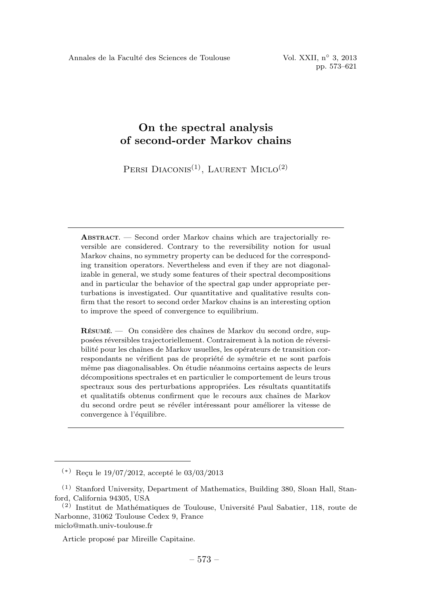PERSI DIACONIS<sup>(1)</sup>, LAURENT MICLO<sup>(2)</sup>

**ABSTRACT.** — Second order Markov chains which are trajectorially reversible are considered. Contrary to the reversibility notion for usual Markov chains, no symmetry property can be deduced for the corresponding transition operators. Nevertheless and even if they are not diagonalizable in general, we study some features of their spectral decompositions and in particular the behavior of the spectral gap under appropriate perturbations is investigated. Our quantitative and qualitative results confirm that the resort to second order Markov chains is an interesting option to improve the speed of convergence to equilibrium.

RÉSUMÉ. — On considère des chaînes de Markov du second ordre, supposées réversibles trajectoriellement. Contrairement à la notion de réversibilité pour les chaînes de Markov usuelles, les opérateurs de transition correspondants ne vérifient pas de propriété de symétrie et ne sont parfois même pas diagonalisables. On étudie néanmoins certains aspects de leurs d´ecompositions spectrales et en particulier le comportement de leurs trous spectraux sous des perturbations appropriées. Les résultats quantitatifs et qualitatifs obtenus confirment que le recours aux chaˆınes de Markov du second ordre peut se révéler intéressant pour améliorer la vitesse de convergence à l'équilibre.

Article proposé par Mireille Capitaine.

 $(*)$  Recu le 19/07/2012, accepté le 03/03/2013

<sup>(1)</sup> Stanford University, Department of Mathematics, Building 380, Sloan Hall, Stanford, California 94305, USA

 $(2)$  Institut de Mathématiques de Toulouse, Université Paul Sabatier, 118, route de Narbonne, 31062 Toulouse Cedex 9, France miclo@math.univ-toulouse.fr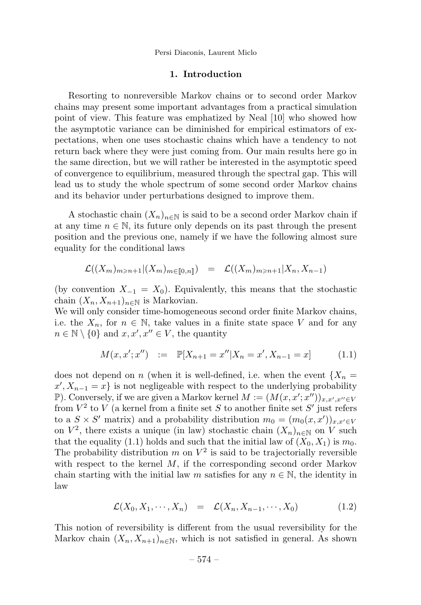Persi Diaconis, Laurent Miclo

#### 1. Introduction

Resorting to nonreversible Markov chains or to second order Markov chains may present some important advantages from a practical simulation point of view. This feature was emphatized by Neal [10] who showed how the asymptotic variance can be diminished for empirical estimators of expectations, when one uses stochastic chains which have a tendency to not return back where they were just coming from. Our main results here go in the same direction, but we will rather be interested in the asymptotic speed of convergence to equilibrium, measured through the spectral gap. This will lead us to study the whole spectrum of some second order Markov chains and its behavior under perturbations designed to improve them.

A stochastic chain  $(X_n)_{n\in\mathbb{N}}$  is said to be a second order Markov chain if at any time  $n \in \mathbb{N}$ , its future only depends on its past through the present position and the previous one, namely if we have the following almost sure equality for the conditional laws

$$
\mathcal{L}((X_m)_{m \geq n+1} | (X_m)_{m \in [\![ 0,n ]\!])} = \mathcal{L}((X_m)_{m \geq n+1} | X_n, X_{n-1})
$$

(by convention  $X_{-1} = X_0$ ). Equivalently, this means that the stochastic chain  $(X_n, X_{n+1})_{n \in \mathbb{N}}$  is Markovian.

We will only consider time-homogeneous second order finite Markov chains, i.e. the  $X_n$ , for  $n \in \mathbb{N}$ , take values in a finite state space V and for any  $n \in \mathbb{N} \setminus \{0\}$  and  $x, x', x'' \in V$ , the quantity

$$
M(x, x'; x'') := \mathbb{P}[X_{n+1} = x'' | X_n = x', X_{n-1} = x]
$$
 (1.1)

does not depend on n (when it is well-defined, i.e. when the event  ${X_n}$  $x', X_{n-1} = x$  is not negligeable with respect to the underlying probability P). Conversely, if we are given a Markov kernel  $M := (M(x, x'; x''))_{x, x', x'' \in V}$ from  $V^2$  to V (a kernel from a finite set S to another finite set S' just refers to a  $S \times S'$  matrix) and a probability distribution  $m_0 = (m_0(x, x'))_{x, x' \in V}$ on  $V^2$ , there exists a unique (in law) stochastic chain  $(X_n)_{n\in\mathbb{N}}$  on V such that the equality (1.1) holds and such that the initial law of  $(X_0, X_1)$  is  $m_0$ . The probability distribution m on  $V^2$  is said to be trajectorially reversible with respect to the kernel  $M$ , if the corresponding second order Markov chain starting with the initial law m satisfies for any  $n \in \mathbb{N}$ , the identity in law

$$
\mathcal{L}(X_0, X_1, \cdots, X_n) = \mathcal{L}(X_n, X_{n-1}, \cdots, X_0) \tag{1.2}
$$

This notion of reversibility is different from the usual reversibility for the Markov chain  $(X_n, X_{n+1})_{n \in \mathbb{N}}$ , which is not satisfied in general. As shown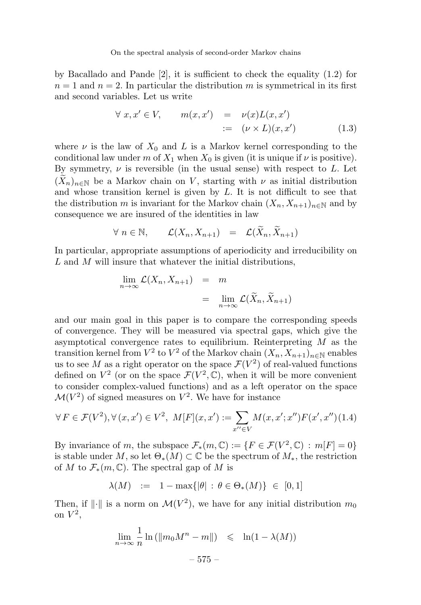by Bacallado and Pande  $[2]$ , it is sufficient to check the equality  $(1.2)$  for  $n = 1$  and  $n = 2$ . In particular the distribution m is symmetrical in its first and second variables. Let us write

$$
\forall x, x' \in V, \qquad m(x, x') = \nu(x)L(x, x')
$$
  
 :=  $(\nu \times L)(x, x')$  (1.3)

where  $\nu$  is the law of  $X_0$  and L is a Markov kernel corresponding to the conditional law under m of  $X_1$  when  $X_0$  is given (it is unique if  $\nu$  is positive). By symmetry,  $\nu$  is reversible (in the usual sense) with respect to  $L$ . Let  $(X_n)_{n\in\mathbb{N}}$  be a Markov chain on V, starting with  $\nu$  as initial distribution and whose transition kernel is given by  $L$ . It is not difficult to see that the distribution m is invariant for the Markov chain  $(X_n, X_{n+1})_{n\in\mathbb{N}}$  and by consequence we are insured of the identities in law

$$
\forall n \in \mathbb{N}, \qquad \mathcal{L}(X_n, X_{n+1}) = \mathcal{L}(X_n, X_{n+1})
$$

In particular, appropriate assumptions of aperiodicity and irreducibility on L and M will insure that whatever the initial distributions,

$$
\lim_{n \to \infty} \mathcal{L}(X_n, X_{n+1}) = m
$$
  
= 
$$
\lim_{n \to \infty} \mathcal{L}(\widetilde{X}_n, \widetilde{X}_{n+1})
$$

and our main goal in this paper is to compare the corresponding speeds of convergence. They will be measured via spectral gaps, which give the asymptotical convergence rates to equilibrium. Reinterpreting  $M$  as the transition kernel from  $V^2$  to  $V^2$  of the Markov chain  $(X_n, X_{n+1})_{n\in\mathbb{N}}$  enables us to see M as a right operator on the space  $\mathcal{F}(V^2)$  of real-valued functions defined on  $V^2$  (or on the space  $\mathcal{F}(V^2,\mathbb{C})$ , when it will be more convenient to consider complex-valued functions) and as a left operator on the space  $\mathcal{M}(V^2)$  of signed measures on  $V^2$ . We have for instance

$$
\forall F \in \mathcal{F}(V^2), \forall (x, x') \in V^2, \ M[F](x, x') := \sum_{x'' \in V} M(x, x'; x'') F(x', x'')(1.4)
$$

By invariance of m, the subspace  $\mathcal{F}_*(m,\mathbb{C}) := \{F \in \mathcal{F}(V^2,\mathbb{C}) : m[F] = 0\}$ is stable under M, so let  $\Theta_*(M) \subset \mathbb{C}$  be the spectrum of  $M_*$ , the restriction of M to  $\mathcal{F}_*(m,\mathbb{C})$ . The spectral gap of M is

$$
\lambda(M) := 1 - \max\{|\theta| : \theta \in \Theta_*(M)\} \in [0,1]
$$

Then, if  $\|\cdot\|$  is a norm on  $\mathcal{M}(V^2)$ , we have for any initial distribution  $m_0$ on  $V^2$ ,

$$
\lim_{n \to \infty} \frac{1}{n} \ln \left( \|m_0 M^n - m\| \right) \leqslant \ln(1 - \lambda(M))
$$

$$
-575-\\
$$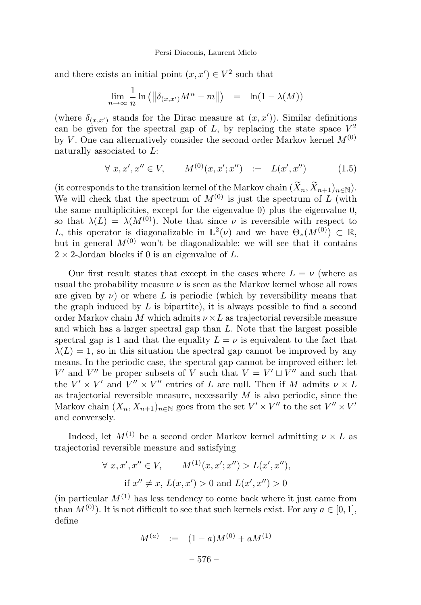and there exists an initial point  $(x, x') \in V^2$  such that

$$
\lim_{n \to \infty} \frac{1}{n} \ln \left( \left\| \delta_{(x, x')} M^n - m \right\| \right) = \ln(1 - \lambda(M))
$$

(where  $\delta_{(x,x')}$  stands for the Dirac measure at  $(x, x')$ ). Similar definitions can be given for the spectral gap of L, by replacing the state space  $V^2$ by V. One can alternatively consider the second order Markov kernel  $M^{(0)}$ naturally associated to L:

$$
\forall x, x', x'' \in V, \qquad M^{(0)}(x, x'; x'') \quad := \quad L(x', x'') \tag{1.5}
$$

(it corresponds to the transition kernel of the Markov chain  $(X_n, X_{n+1})_{n \in \mathbb{N}}$ ). We will check that the spectrum of  $M^{(0)}$  is just the spectrum of L (with the same multiplicities, except for the eigenvalue 0) plus the eigenvalue 0, so that  $\lambda(L) = \lambda(M^{(0)})$ . Note that since  $\nu$  is reversible with respect to L, this operator is diagonalizable in  $\mathbb{L}^2(\nu)$  and we have  $\Theta_*(M^{(0)}) \subset \mathbb{R}$ , but in general  $M^{(0)}$  won't be diagonalizable: we will see that it contains  $2 \times 2$ -Jordan blocks if 0 is an eigenvalue of L.

Our first result states that except in the cases where  $L = \nu$  (where as usual the probability measure  $\nu$  is seen as the Markov kernel whose all rows are given by  $\nu$ ) or where L is periodic (which by reversibility means that the graph induced by  $L$  is bipartite), it is always possible to find a second order Markov chain M which admits  $\nu \times L$  as trajectorial reversible measure and which has a larger spectral gap than L. Note that the largest possible spectral gap is 1 and that the equality  $L = \nu$  is equivalent to the fact that  $\lambda(L) = 1$ , so in this situation the spectral gap cannot be improved by any means. In the periodic case, the spectral gap cannot be improved either: let V' and V'' be proper subsets of V such that  $V = V' \sqcup V''$  and such that the  $V' \times V'$  and  $V'' \times V''$  entries of L are null. Then if M admits  $\nu \times L$ as trajectorial reversible measure, necessarily  $M$  is also periodic, since the Markov chain  $(X_n, X_{n+1})_{n \in \mathbb{N}}$  goes from the set  $V' \times V''$  to the set  $V'' \times V'$ and conversely.

Indeed, let  $M^{(1)}$  be a second order Markov kernel admitting  $\nu \times L$  as trajectorial reversible measure and satisfying

$$
\forall x, x', x'' \in V, \qquad M^{(1)}(x, x'; x'') > L(x', x''),
$$
  
if  $x'' \neq x$ ,  $L(x, x') > 0$  and  $L(x', x'') > 0$ 

(in particular  $M^{(1)}$  has less tendency to come back where it just came from than  $M^{(0)}$ ). It is not difficult to see that such kernels exist. For any  $a \in [0, 1]$ , define

$$
M^{(a)} := (1 - a)M^{(0)} + aM^{(1)}
$$
  
- 576 -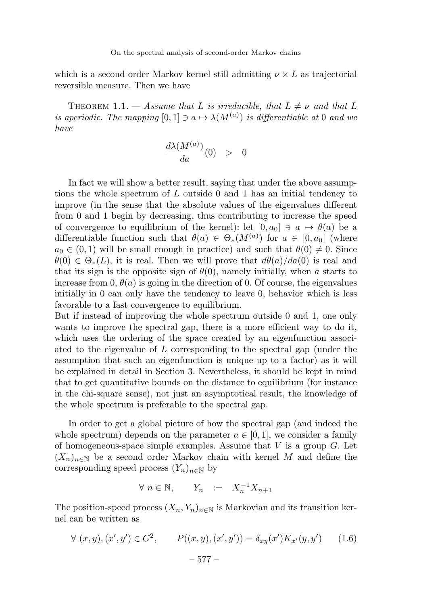which is a second order Markov kernel still admitting  $\nu \times L$  as trajectorial reversible measure. Then we have

THEOREM 1.1. — Assume that L is irreducible, that  $L \neq \nu$  and that L is aperiodic. The mapping  $[0,1] \ni a \mapsto \lambda(M^{(a)})$  is differentiable at 0 and we have

$$
\frac{d\lambda(M^{(a)})}{da}(0) > 0
$$

In fact we will show a better result, saying that under the above assumptions the whole spectrum of L outside 0 and 1 has an initial tendency to improve (in the sense that the absolute values of the eigenvalues different from 0 and 1 begin by decreasing, thus contributing to increase the speed of convergence to equilibrium of the kernel): let  $[0, a_0] \ni a \mapsto \theta(a)$  be a differentiable function such that  $\theta(a) \in \Theta_*(M^{(a)})$  for  $a \in [0, a_0]$  (where  $a_0 \in (0,1)$  will be small enough in practice) and such that  $\theta(0) \neq 0$ . Since  $\theta(0) \in \Theta_*(L)$ , it is real. Then we will prove that  $d\theta(a)/da(0)$  is real and that its sign is the opposite sign of  $\theta(0)$ , namely initially, when a starts to increase from 0,  $\theta(a)$  is going in the direction of 0. Of course, the eigenvalues initially in 0 can only have the tendency to leave 0, behavior which is less favorable to a fast convergence to equilibrium.

But if instead of improving the whole spectrum outside 0 and 1, one only wants to improve the spectral gap, there is a more efficient way to do it, which uses the ordering of the space created by an eigenfunction associated to the eigenvalue of L corresponding to the spectral gap (under the assumption that such an eigenfunction is unique up to a factor) as it will be explained in detail in Section 3. Nevertheless, it should be kept in mind that to get quantitative bounds on the distance to equilibrium (for instance in the chi-square sense), not just an asymptotical result, the knowledge of the whole spectrum is preferable to the spectral gap.

In order to get a global picture of how the spectral gap (and indeed the whole spectrum) depends on the parameter  $a \in [0, 1]$ , we consider a family of homogeneous-space simple examples. Assume that  $V$  is a group  $G$ . Let  $(X_n)_{n\in\mathbb{N}}$  be a second order Markov chain with kernel M and define the corresponding speed process  $(Y_n)_{n\in\mathbb{N}}$  by

$$
\forall n \in \mathbb{N}, \qquad Y_n \quad := \quad X_n^{-1} X_{n+1}
$$

The position-speed process  $(X_n, Y_n)_{n\in\mathbb{N}}$  is Markovian and its transition kernel can be written as

$$
\forall (x, y), (x', y') \in G^2, \qquad P((x, y), (x', y')) = \delta_{xy}(x') K_{x'}(y, y') \qquad (1.6)
$$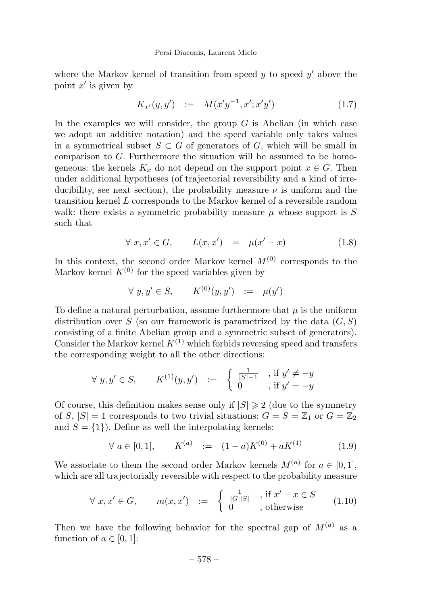where the Markov kernel of transition from speed  $y$  to speed  $y'$  above the point  $x'$  is given by

$$
K_{x'}(y, y') \quad := \quad M(x'y^{-1}, x'; x'y') \tag{1.7}
$$

In the examples we will consider, the group  $G$  is Abelian (in which case we adopt an additive notation) and the speed variable only takes values in a symmetrical subset  $S \subset G$  of generators of G, which will be small in comparison to G. Furthermore the situation will be assumed to be homogeneous: the kernels  $K_x$  do not depend on the support point  $x \in G$ . Then under additional hypotheses (of trajectorial reversibility and a kind of irreducibility, see next section), the probability measure  $\nu$  is uniform and the transition kernel L corresponds to the Markov kernel of a reversible random walk: there exists a symmetric probability measure  $\mu$  whose support is S such that

$$
\forall x, x' \in G, \qquad L(x, x') = \mu(x' - x) \tag{1.8}
$$

In this context, the second order Markov kernel  $M^{(0)}$  corresponds to the Markov kernel  $K^{(0)}$  for the speed variables given by

$$
\forall y, y' \in S, \qquad K^{(0)}(y, y') \ := \ \mu(y')
$$

To define a natural perturbation, assume furthermore that  $\mu$  is the uniform distribution over S (so our framework is parametrized by the data  $(G, S)$ ) consisting of a finite Abelian group and a symmetric subset of generators). Consider the Markov kernel  $K^{(1)}$  which forbids reversing speed and transfers the corresponding weight to all the other directions:

$$
\forall y, y' \in S, \qquad K^{(1)}(y, y') \quad := \quad \left\{ \begin{array}{ll} \frac{1}{|S|-1} & \text{if } y' \neq -y \\ 0 & \text{if } y' = -y \end{array} \right.
$$

Of course, this definition makes sense only if  $|S| \geq 2$  (due to the symmetry of S,  $|S| = 1$  corresponds to two trivial situations:  $G = S = \mathbb{Z}_1$  or  $G = \mathbb{Z}_2$ and  $S = \{1\}$ . Define as well the interpolating kernels:

$$
\forall a \in [0, 1], \qquad K^{(a)} := (1 - a)K^{(0)} + aK^{(1)} \tag{1.9}
$$

We associate to them the second order Markov kernels  $M^{(a)}$  for  $a \in [0,1]$ , which are all trajectorially reversible with respect to the probability measure

$$
\forall x, x' \in G, \qquad m(x, x') \ := \begin{cases} \frac{1}{|G||S|}, & \text{if } x' - x \in S \\ 0, & \text{otherwise} \end{cases} \tag{1.10}
$$

Then we have the following behavior for the spectral gap of  $M^{(a)}$  as a function of  $a \in [0, 1]$ :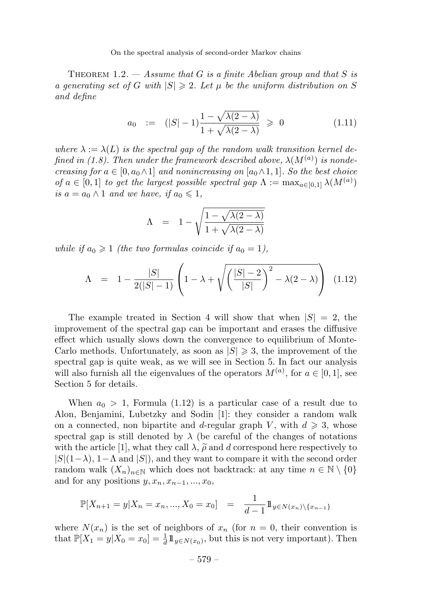THEOREM 1.2.  $-$  Assume that G is a finite Abelian group and that S is a generating set of G with  $|S| \geq 2$ . Let  $\mu$  be the uniform distribution on S and define

$$
a_0 := (|S| - 1)\frac{1 - \sqrt{\lambda(2 - \lambda)}}{1 + \sqrt{\lambda(2 - \lambda)}} \ge 0
$$
\n(1.11)

where  $\lambda := \lambda(L)$  is the spectral gap of the random walk transition kernel defined in (1.8). Then under the framework described above,  $\lambda(M^{(a)})$  is nondecreasing for  $a \in [0, a_0 \wedge 1]$  and nonincreasing on  $[a_0 \wedge 1, 1]$ . So the best choice of  $a \in [0,1]$  to get the largest possible spectral gap  $\Lambda := \max_{a \in [0,1]} \lambda(M^{(a)})$ is  $a = a_0 \wedge 1$  and we have, if  $a_0 \leq 1$ ,

$$
\Lambda = 1 - \sqrt{\frac{1 - \sqrt{\lambda(2 - \lambda)}}{1 + \sqrt{\lambda(2 - \lambda)}}}
$$

while if  $a_0 \geq 1$  (the two formulas coincide if  $a_0 = 1$ ),

$$
\Lambda = 1 - \frac{|S|}{2(|S|-1)} \left( 1 - \lambda + \sqrt{\left( \frac{|S|-2}{|S|} \right)^2 - \lambda(2-\lambda)} \right) (1.12)
$$

The example treated in Section 4 will show that when  $|S| = 2$ , the improvement of the spectral gap can be important and erases the diffusive effect which usually slows down the convergence to equilibrium of Monte-Carlo methods. Unfortunately, as soon as  $|S| \geq 3$ , the improvement of the spectral gap is quite weak, as we will see in Section 5. In fact our analysis will also furnish all the eigenvalues of the operators  $M^{(a)}$ , for  $a \in [0,1]$ , see Section 5 for details.

When  $a_0 > 1$ , Formula (1.12) is a particular case of a result due to Alon, Benjamini, Lubetzky and Sodin [1]: they consider a random walk on a connected, non bipartite and d-regular graph V, with  $d \geq 3$ , whose spectral gap is still denoted by  $\lambda$  (be careful of the changes of notations with the article [1], what they call  $\lambda$ ,  $\tilde{\rho}$  and d correspond here respectively to  $|\mathcal{L}|$  (1, ) and  $\Lambda$  and  $|\mathcal{L}|$ ) and the properties accuracy it with the account order  $|S|(1-\lambda)$ ,  $1-\Lambda$  and  $|S|$ ), and they want to compare it with the second order random walk  $(X_n)_{n\in\mathbb{N}}$  which does not backtrack: at any time  $n \in \mathbb{N} \setminus \{0\}$ and for any positions  $y, x_n, x_{n-1}, ..., x_0$ ,

$$
\mathbb{P}[X_{n+1} = y | X_n = x_n, ..., X_0 = x_0] = \frac{1}{d-1} 1 \mathbb{1}_{y \in N(x_n) \setminus \{x_{n-1}\}}
$$

where  $N(x_n)$  is the set of neighbors of  $x_n$  (for  $n = 0$ , their convention is that  $\mathbb{P}[X_1 = y | X_0 = x_0] = \frac{1}{d} 1\!\!1_{y \in N(x_0)}$ , but this is not very important). Then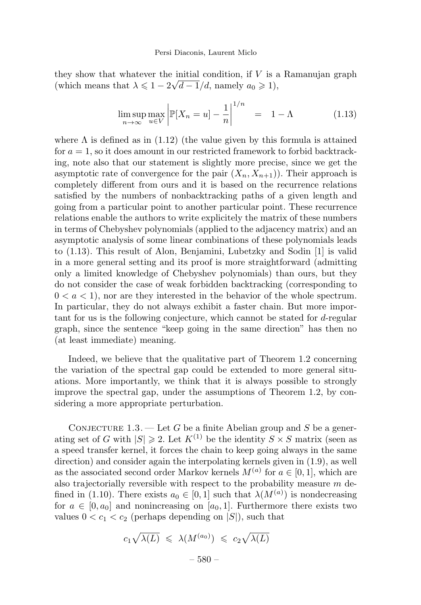they show that whatever the initial condition, if  $V$  is a Ramanujan graph (which means that  $\lambda \leq 1 - 2\sqrt{d-1}/d$ , namely  $a_0 \geq 1$ ),

$$
\limsup_{n \to \infty} \max_{u \in V} \left| \mathbb{P}[X_n = u] - \frac{1}{n} \right|^{1/n} = 1 - \Lambda
$$
\n(1.13)

where  $\Lambda$  is defined as in (1.12) (the value given by this formula is attained for  $a = 1$ , so it does amount in our restricted framework to forbid backtracking, note also that our statement is slightly more precise, since we get the asymptotic rate of convergence for the pair  $(X_n, X_{n+1})$ . Their approach is completely different from ours and it is based on the recurrence relations satisfied by the numbers of nonbacktracking paths of a given length and going from a particular point to another particular point. These recurrence relations enable the authors to write explicitely the matrix of these numbers in terms of Chebyshev polynomials (applied to the adjacency matrix) and an asymptotic analysis of some linear combinations of these polynomials leads to (1.13). This result of Alon, Benjamini, Lubetzky and Sodin [1] is valid in a more general setting and its proof is more straightforward (admitting only a limited knowledge of Chebyshev polynomials) than ours, but they do not consider the case of weak forbidden backtracking (corresponding to  $0 < a < 1$ , nor are they interested in the behavior of the whole spectrum. In particular, they do not always exhibit a faster chain. But more important for us is the following conjecture, which cannot be stated for d-regular graph, since the sentence "keep going in the same direction" has then no (at least immediate) meaning.

Indeed, we believe that the qualitative part of Theorem 1.2 concerning the variation of the spectral gap could be extended to more general situations. More importantly, we think that it is always possible to strongly improve the spectral gap, under the assumptions of Theorem 1.2, by considering a more appropriate perturbation.

CONJECTURE 1.3. — Let G be a finite Abelian group and S be a generating set of G with  $|S| \geq 2$ . Let  $K^{(1)}$  be the identity  $S \times S$  matrix (seen as a speed transfer kernel, it forces the chain to keep going always in the same direction) and consider again the interpolating kernels given in (1.9), as well as the associated second order Markov kernels  $M^{(a)}$  for  $a \in [0, 1]$ , which are also trajectorially reversible with respect to the probability measure  $m$  defined in (1.10). There exists  $a_0 \in [0,1]$  such that  $\lambda(M^{(a)})$  is nondecreasing for  $a \in [0, a_0]$  and nonincreasing on  $[a_0, 1]$ . Furthermore there exists two values  $0 < c_1 < c_2$  (perhaps depending on  $|S|$ ), such that

$$
c_1 \sqrt{\lambda(L)} \leq \lambda(M^{(a_0)}) \leq c_2 \sqrt{\lambda(L)}
$$
  
- 580 -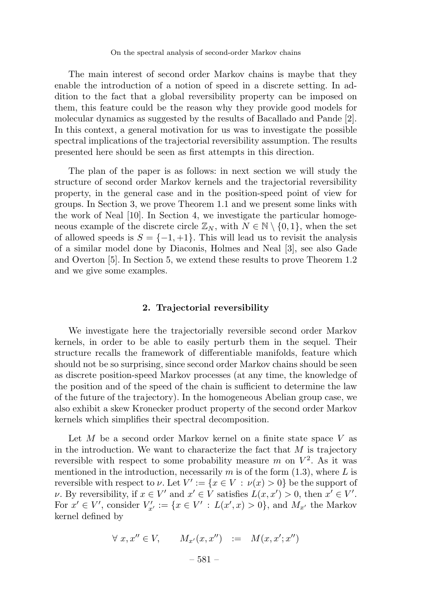The main interest of second order Markov chains is maybe that they enable the introduction of a notion of speed in a discrete setting. In addition to the fact that a global reversibility property can be imposed on them, this feature could be the reason why they provide good models for molecular dynamics as suggested by the results of Bacallado and Pande [2]. In this context, a general motivation for us was to investigate the possible spectral implications of the trajectorial reversibility assumption. The results presented here should be seen as first attempts in this direction.

The plan of the paper is as follows: in next section we will study the structure of second order Markov kernels and the trajectorial reversibility property, in the general case and in the position-speed point of view for groups. In Section 3, we prove Theorem 1.1 and we present some links with the work of Neal [10]. In Section 4, we investigate the particular homogeneous example of the discrete circle  $\mathbb{Z}_N$ , with  $N \in \mathbb{N} \setminus \{0,1\}$ , when the set of allowed speeds is  $S = \{-1, +1\}$ . This will lead us to revisit the analysis of a similar model done by Diaconis, Holmes and Neal [3], see also Gade and Overton [5]. In Section 5, we extend these results to prove Theorem 1.2 and we give some examples.

#### 2. Trajectorial reversibility

We investigate here the trajectorially reversible second order Markov kernels, in order to be able to easily perturb them in the sequel. Their structure recalls the framework of differentiable manifolds, feature which should not be so surprising, since second order Markov chains should be seen as discrete position-speed Markov processes (at any time, the knowledge of the position and of the speed of the chain is sufficient to determine the law of the future of the trajectory). In the homogeneous Abelian group case, we also exhibit a skew Kronecker product property of the second order Markov kernels which simplifies their spectral decomposition.

Let M be a second order Markov kernel on a finite state space V as in the introduction. We want to characterize the fact that  $M$  is trajectory reversible with respect to some probability measure m on  $V^2$ . As it was mentioned in the introduction, necessarily m is of the form  $(1.3)$ , where L is reversible with respect to  $\nu$ . Let  $V' := \{x \in V : \nu(x) > 0\}$  be the support of v. By reversibility, if  $x \in V'$  and  $x' \in V$  satisfies  $L(x, x') > 0$ , then  $x' \in V'$ . For  $x' \in V'$ , consider  $V'_{x'} := \{x \in V' : L(x',x) > 0\}$ , and  $M_{x'}$  the Markov kernel defined by

$$
\forall x, x'' \in V, \qquad M_{x'}(x, x'') \quad := \quad M(x, x'; x'')
$$
  
- 581 -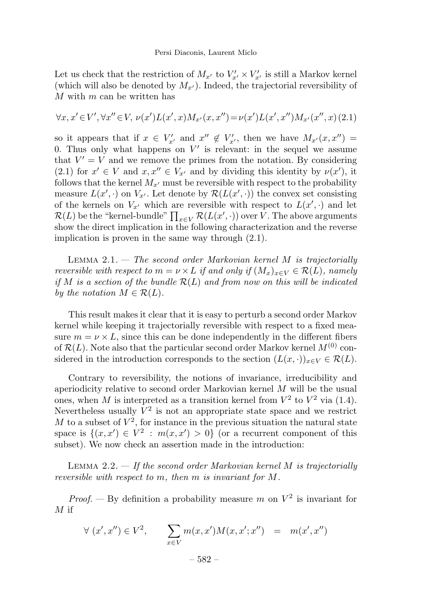Let us check that the restriction of  $M_{x'}$  to  $V'_{x'} \times V'_{x'}$  is still a Markov kernel (which will also be denoted by  $M_{x'}$ ). Indeed, the trajectorial reversibility of  $M$  with  $m$  can be written has

$$
\forall x, x' \in V', \forall x'' \in V, \nu(x')L(x', x)M_{x'}(x, x'') = \nu(x')L(x', x'')M_{x'}(x'', x)
$$
 (2.1)

so it appears that if  $x \in V'_{x'}$  and  $x'' \notin V'_{x'}$ , then we have  $M_{x'}(x, x'') =$ 0. Thus only what happens on  $V'$  is relevant: in the sequel we assume that  $V' = V$  and we remove the primes from the notation. By considering  $(2.1)$  for  $x' \in V$  and  $x, x'' \in V_{x'}$  and by dividing this identity by  $\nu(x')$ , it follows that the kernel  $M_{x'}$  must be reversible with respect to the probability measure  $L(x', \cdot)$  on  $V_{x'}$ . Let denote by  $\mathcal{R}(L(x', \cdot))$  the convex set consisting of the kernels on  $V_{x'}$  which are reversible with respect to  $L(x', \cdot)$  and let  $\mathcal{R}(L)$  be the "kernel-bundle"  $\prod_{x \in V} \mathcal{R}(L(x',\cdot))$  over V. The above arguments show the direct implication in the following characterization and the reverse implication is proven in the same way through (2.1).

LEMMA  $2.1.$  – The second order Markovian kernel M is trajectorially reversible with respect to  $m = \nu \times L$  if and only if  $(M_x)_{x \in V} \in \mathcal{R}(L)$ , namely if M is a section of the bundle  $\mathcal{R}(L)$  and from now on this will be indicated by the notation  $M \in \mathcal{R}(L)$ .

This result makes it clear that it is easy to perturb a second order Markov kernel while keeping it trajectorially reversible with respect to a fixed measure  $m = \nu \times L$ , since this can be done independently in the different fibers of  $\mathcal{R}(L)$ . Note also that the particular second order Markov kernel  $M^{(0)}$  considered in the introduction corresponds to the section  $(L(x, \cdot))_{x \in V} \in \mathcal{R}(L)$ .

Contrary to reversibility, the notions of invariance, irreducibility and aperiodicity relative to second order Markovian kernel  $M$  will be the usual ones, when M is interpreted as a transition kernel from  $V^2$  to  $V^2$  via (1.4). Nevertheless usually  $\overline{V}^2$  is not an appropriate state space and we restrict M to a subset of  $V^2$ , for instance in the previous situation the natural state space is  $\{(x, x') \in V^2 : m(x, x') > 0\}$  (or a recurrent component of this subset). We now check an assertion made in the introduction:

LEMMA 2.2.  $\rightarrow$  If the second order Markovian kernel M is trajectorially reversible with respect to m, then m is invariant for M.

*Proof.* — By definition a probability measure m on  $V^2$  is invariant for  $M$  if

$$
\forall (x', x'') \in V^2, \qquad \sum_{x \in V} m(x, x') M(x, x'; x'') = m(x', x'')
$$

– 582 –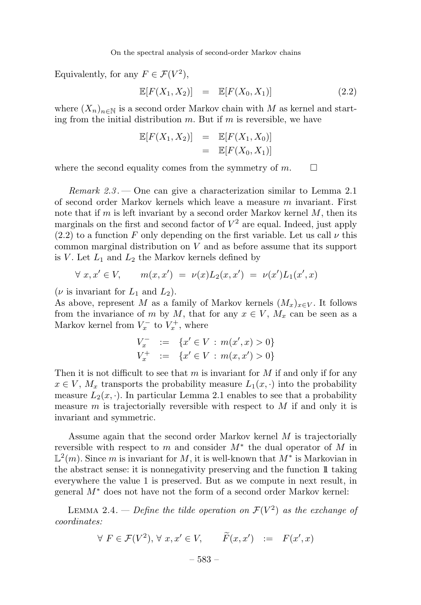Equivalently, for any  $F \in \mathcal{F}(V^2)$ ,

$$
\mathbb{E}[F(X_1, X_2)] = \mathbb{E}[F(X_0, X_1)] \tag{2.2}
$$

where  $(X_n)_{n\in\mathbb{N}}$  is a second order Markov chain with M as kernel and starting from the initial distribution  $m$ . But if  $m$  is reversible, we have

$$
\mathbb{E}[F(X_1, X_2)] = \mathbb{E}[F(X_1, X_0)]
$$
  
= 
$$
\mathbb{E}[F(X_0, X_1)]
$$

where the second equality comes from the symmetry of  $m$ .  $\Box$ 

*Remark 2.3.* — One can give a characterization similar to Lemma 2.1 of second order Markov kernels which leave a measure  $m$  invariant. First note that if m is left invariant by a second order Markov kernel  $M$ , then its marginals on the first and second factor of  $V^2$  are equal. Indeed, just apply  $(2.2)$  to a function F only depending on the first variable. Let us call  $\nu$  this common marginal distribution on V and as before assume that its support is V. Let  $L_1$  and  $L_2$  the Markov kernels defined by

$$
\forall x, x' \in V, \qquad m(x, x') = \nu(x)L_2(x, x') = \nu(x')L_1(x', x)
$$

( $\nu$  is invariant for  $L_1$  and  $L_2$ ).

As above, represent M as a family of Markov kernels  $(M_x)_{x\in V}$ . It follows from the invariance of m by M, that for any  $x \in V$ ,  $M_x$  can be seen as a Markov kernel from  $V_x^-$  to  $V_x^+$ , where

$$
V_x^- := \{ x' \in V : m(x', x) > 0 \}
$$
  

$$
V_x^+ := \{ x' \in V : m(x, x') > 0 \}
$$

Then it is not difficult to see that m is invariant for  $M$  if and only if for any  $x \in V$ ,  $M_x$  transports the probability measure  $L_1(x, \cdot)$  into the probability measure  $L_2(x, \cdot)$ . In particular Lemma 2.1 enables to see that a probability measure m is trajectorially reversible with respect to M if and only it is invariant and symmetric.

Assume again that the second order Markov kernel M is trajectorially reversible with respect to m and consider  $M^*$  the dual operator of M in  $\mathbb{L}^2(m)$ . Since m is invariant for M, it is well-known that  $M^*$  is Markovian in the abstract sense: it is nonnegativity preserving and the function 11 taking everywhere the value 1 is preserved. But as we compute in next result, in general  $M^*$  does not have not the form of a second order Markov kernel:

LEMMA 2.4. — Define the tilde operation on  $\mathcal{F}(V^2)$  as the exchange of coordinates:

$$
\forall F \in \mathcal{F}(V^2), \forall x, x' \in V, \qquad \widetilde{F}(x, x') \ := \ F(x', x)
$$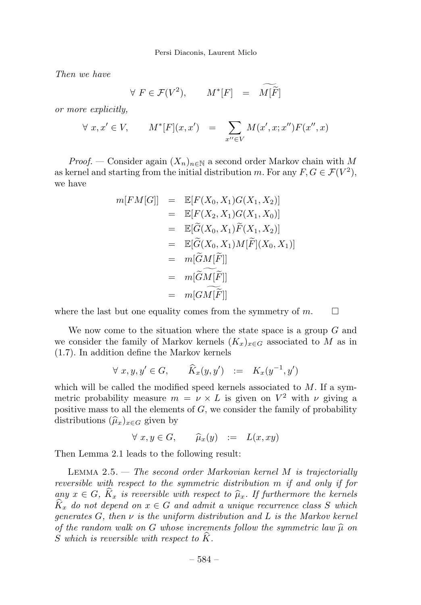Then we have

$$
\forall \ F \in \mathcal{F}(V^2), \qquad M^*[F] \quad = \quad \widetilde{M[\tilde{F}]}
$$

or more explicitly,

$$
\forall x, x' \in V, \qquad M^*[F](x, x') = \sum_{x'' \in V} M(x', x; x'') F(x'', x)
$$

*Proof.* — Consider again  $(X_n)_{n\in\mathbb{N}}$  a second order Markov chain with M as kernel and starting from the initial distribution m. For any  $F, G \in \mathcal{F}(V^2)$ , we have

$$
m[FM[G]] = \mathbb{E}[F(X_0, X_1)G(X_1, X_2)]
$$
  
\n
$$
= \mathbb{E}[F(X_2, X_1)G(X_1, X_0)]
$$
  
\n
$$
= \mathbb{E}[\widetilde{G}(X_0, X_1)\widetilde{F}(X_1, X_2)]
$$
  
\n
$$
= \mathbb{E}[\widetilde{G}(X_0, X_1)M[\widetilde{F}](X_0, X_1)]
$$
  
\n
$$
= m[\widetilde{G}M[\widetilde{F}]]
$$
  
\n
$$
= m[\widetilde{G}M[\widetilde{F}]]
$$
  
\n
$$
= m[GM[\widetilde{F}]]
$$

where the last but one equality comes from the symmetry of  $m$ .  $\square$ 

We now come to the situation where the state space is a group  $G$  and we consider the family of Markov kernels  $(K_x)_{x\in G}$  associated to M as in (1.7). In addition define the Markov kernels

$$
\forall x, y, y' \in G, \qquad \widehat{K}_x(y, y') \ := \ K_x(y^{-1}, y')
$$

which will be called the modified speed kernels associated to  $M$ . If a symmetric probability measure  $m = \nu \times L$  is given on  $V^2$  with  $\nu$  giving a positive mass to all the elements of  $G$ , we consider the family of probability distributions  $(\widehat{\mu}_x)_{x\in G}$  given by

 $\forall x, y \in G, \qquad \widehat{\mu}_x(y) := L(x, xy)$ 

Then Lemma 2.1 leads to the following result:

LEMMA  $2.5.$  — The second order Markovian kernel M is trajectorially reversible with respect to the symmetric distribution m if and only if for any  $x \in G$ ,  $\widehat{K}_x$  is reversible with respect to  $\widehat{\mu}_x$ . If furthermore the kernels  $\hat{K}_x$  do not depend on  $x \in G$  and admit a unique recurrence class S which generates  $G$ , then  $\nu$  is the uniform distribution and  $L$  is the Markov kernel of the random walk on G whose increments follow the symmetric law  $\hat{\mu}$  on S which is reversible with respect to K.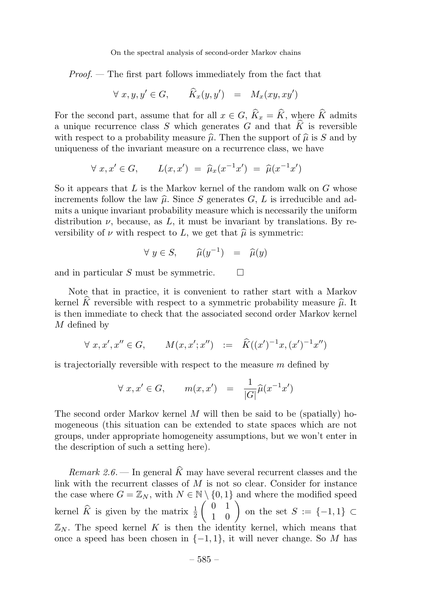Proof. — The first part follows immediately from the fact that

$$
\forall x, y, y' \in G, \qquad \hat{K}_x(y, y') = M_x(xy, xy')
$$

For the second part, assume that for all  $x \in G$ ,  $\widehat{K}_x = \widehat{K}$ , where  $\widehat{K}$  admits a unique recurrence class S which generates G and that  $\hat{K}$  is reversible with respect to a probability measure  $\hat{\mu}$ . Then the support of  $\hat{\mu}$  is S and by uniqueness of the invariant measure on a recurrence class, we have

$$
\forall x, x' \in G, \qquad L(x, x') = \hat{\mu}_x(x^{-1}x') = \hat{\mu}(x^{-1}x')
$$

So it appears that L is the Markov kernel of the random walk on  $G$  whose increments follow the law  $\hat{\mu}$ . Since S generates G, L is irreducible and admits a unique invariant probability measure which is necessarily the uniform distribution  $\nu$ , because, as L, it must be invariant by translations. By reversibility of  $\nu$  with respect to L, we get that  $\hat{\mu}$  is symmetric:

$$
\forall y \in S, \qquad \widehat{\mu}(y^{-1}) = \widehat{\mu}(y)
$$

and in particular S must be symmetric.  $\square$ 

Note that in practice, it is convenient to rather start with a Markov kernel  $\hat{K}$  reversible with respect to a symmetric probability measure  $\hat{\mu}$ . It is then immediate to check that the associated second order Markov kernel M defined by

$$
\forall x, x', x'' \in G, \qquad M(x, x'; x'') \quad := \quad \widehat{K}((x')^{-1}x, (x')^{-1}x'')
$$

is trajectorially reversible with respect to the measure  $m$  defined by

$$
\forall x, x' \in G, \qquad m(x, x') = \frac{1}{|G|} \widehat{\mu}(x^{-1}x')
$$

The second order Markov kernel  $M$  will then be said to be (spatially) homogeneous (this situation can be extended to state spaces which are not groups, under appropriate homogeneity assumptions, but we won't enter in the description of such a setting here).

Remark 2.6. — In general  $\widehat{K}$  may have several recurrent classes and the link with the recurrent classes of  $M$  is not so clear. Consider for instance the case where  $G = \mathbb{Z}_N$ , with  $N \in \mathbb{N} \setminus \{0,1\}$  and where the modified speed kernel  $\widehat{K}$  is given by the matrix  $\frac{1}{2}$  $\begin{pmatrix} 0 & 1 \\ 1 & 0 \end{pmatrix}$  on the set  $S := \{-1,1\} \subset$  $\mathbb{Z}_N$ . The speed kernel K is then the identity kernel, which means that once a speed has been chosen in  $\{-1, 1\}$ , it will never change. So M has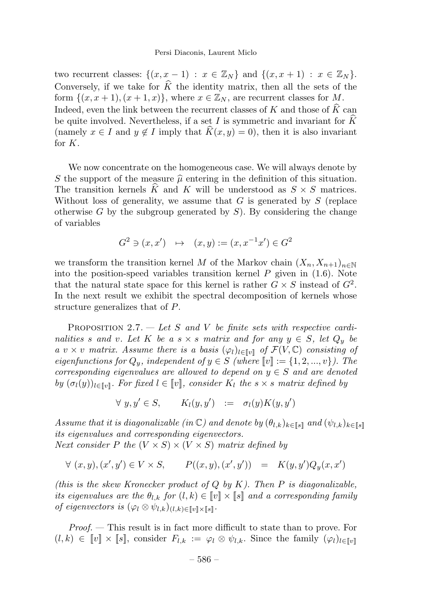#### Persi Diaconis, Laurent Miclo

two recurrent classes:  $\{(x, x-1) : x \in \mathbb{Z}_N\}$  and  $\{(x, x+1) : x \in \mathbb{Z}_N\}$ . Conversely, if we take for  $\widehat{K}$  the identity matrix, then all the sets of the form  $\{(x, x+1), (x+1, x)\}\$ , where  $x \in \mathbb{Z}_N$ , are recurrent classes for M. Indeed, even the link between the recurrent classes of  $K$  and those of  $\widehat{K}$  can be quite involved. Nevertheless, if a set I is symmetric and invariant for  $\widehat{K}$ (namely  $x \in I$  and  $y \notin I$  imply that  $\widehat{K}(x, y) = 0$ ), then it is also invariant for K.

We now concentrate on the homogeneous case. We will always denote by S the support of the measure  $\hat{\mu}$  entering in the definition of this situation. The transition kernels  $\hat{K}$  and K will be understood as  $S \times S$  matrices. Without loss of generality, we assume that  $G$  is generated by  $S$  (replace otherwise G by the subgroup generated by  $S$ ). By considering the change of variables

$$
G^{2} \ni (x, x') \rightarrow (x, y) := (x, x^{-1}x') \in G^{2}
$$

we transform the transition kernel M of the Markov chain  $(X_n, X_{n+1})_{n\in\mathbb{N}}$ into the position-speed variables transition kernel  $P$  given in  $(1.6)$ . Note that the natural state space for this kernel is rather  $G \times S$  instead of  $G^2$ . In the next result we exhibit the spectral decomposition of kernels whose structure generalizes that of P.

PROPOSITION 2.7. — Let S and V be finite sets with respective cardinalities s and v. Let K be a s  $\times$  s matrix and for any  $y \in S$ , let  $Q_y$  be a v × v matrix. Assume there is a basis  $(\varphi_l)_{l \in \llbracket v \rrbracket}$  of  $\mathcal{F}(V, \mathbb{C})$  consisting of eigenfunctions for  $Q_y$ , independent of  $y \in S$  (where  $\llbracket v \rrbracket := \{1, 2, ..., v\}$ ). The corresponding eigenvalues are allowed to depend on  $y \in S$  and are denoted by  $(\sigma_l(y))_{l \in \llbracket v \rrbracket}$ . For fixed  $l \in \llbracket v \rrbracket$ , consider  $K_l$  the  $s \times s$  matrix defined by

$$
\forall y, y' \in S, \qquad K_l(y, y') \ := \sigma_l(y) K(y, y')
$$

Assume that it is diagonalizable (in  $\mathbb{C}$ ) and denote by  $(\theta_{l,k})_{k\in\llbracket s\rrbracket}$  and  $(\psi_{l,k})_{k\in\llbracket s\rrbracket}$ its eigenvalues and corresponding eigenvectors. Next consider P the  $(V \times S) \times (V \times S)$  matrix defined by

 $\forall (x, y), (x', y') \in V \times S,$   $P((x, y), (x', y')) = K(y, y')Q_y(x, x')$ 

(this is the skew Kronecker product of  $Q$  by  $K$ ). Then  $P$  is diagonalizable, its eigenvalues are the  $\theta_{l,k}$  for  $(l,k) \in [0] \times [s]$  and a corresponding family of eigenvectors is  $(\varphi_l \otimes \psi_{l,k})_{(l,k)\in[\![v]\!] \times [\![s]\!]}.$ 

Proof. — This result is in fact more difficult to state than to prove. For  $(l, k) \in [v] \times [s],$  consider  $F_{l,k} := \varphi_l \otimes \psi_{l,k}$ . Since the family  $(\varphi_l)_{l \in [v]}$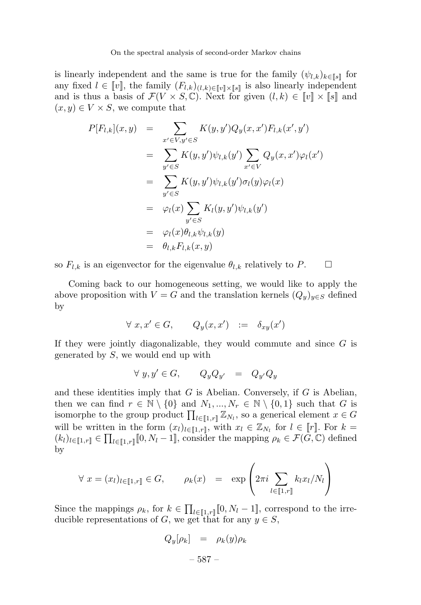is linearly independent and the same is true for the family  $(\psi_{l,k})_{k\in\mathbb{N}}$  for any fixed  $l \in [v]$ , the family  $(F_{l,k})_{(l,k)\in [v]\times [s]}$  is also linearly independent and is thus a basis of  $\mathcal{F}(V \times S, \mathbb{C})$ . Next for given  $(l, k) \in [\![v]\!] \times [\![s]\!]$  and  $(x, y) \in V \times S$ , we compute that

$$
P[F_{l,k}](x,y) = \sum_{x' \in V, y' \in S} K(y,y')Q_y(x,x')F_{l,k}(x',y')
$$
  

$$
= \sum_{y' \in S} K(y,y')\psi_{l,k}(y') \sum_{x' \in V} Q_y(x,x')\varphi_l(x')
$$
  

$$
= \sum_{y' \in S} K(y,y')\psi_{l,k}(y')\sigma_l(y)\varphi_l(x)
$$
  

$$
= \varphi_l(x) \sum_{y' \in S} K_l(y,y')\psi_{l,k}(y')
$$
  

$$
= \varphi_l(x)\theta_{l,k}\psi_{l,k}(y)
$$
  

$$
= \theta_{l,k}F_{l,k}(x,y)
$$

so  $F_{l,k}$  is an eigenvector for the eigenvalue  $\theta_{l,k}$  relatively to P.  $\Box$ 

Coming back to our homogeneous setting, we would like to apply the above proposition with  $V = G$  and the translation kernels  $(Q_y)_{y \in S}$  defined by

$$
\forall x, x' \in G, \qquad Q_y(x, x') \quad := \quad \delta_{xy}(x')
$$

If they were jointly diagonalizable, they would commute and since  $G$  is generated by  $S$ , we would end up with

$$
\forall y, y' \in G, \qquad Q_y Q_{y'} = Q_{y'} Q_y
$$

and these identities imply that  $G$  is Abelian. Conversely, if  $G$  is Abelian, then we can find  $r \in \mathbb{N} \setminus \{0\}$  and  $N_1, ..., N_r \in \mathbb{N} \setminus \{0,1\}$  such that G is isomorphe to the group product  $\prod_{l\in[\![1,r]\!]} \mathbb{Z}_{N_l}$ , so a generical element  $x \in G$ will be written in the form  $(x_l)_{l\in[\![1,r]\!],}$  with  $x_l\in\mathbb{Z}_{N_l}$  for  $l\in[\![r]\!]$ . For  $k=$  $(k_l)_{l\in\llbracket 1,r\rrbracket} \in \prod_{l\in\llbracket 1,r\rrbracket} [0,N_l-1],$  consider the mapping  $\rho_k \in \mathcal{F}(\overline{G},\mathbb{C})$  defined by

$$
\forall x = (x_l)_{l \in [\![1,r]\!]} \in G, \qquad \rho_k(x) = \exp\left(2\pi i \sum_{l \in [\![1,r]\!]} k_l x_l / N_l\right)
$$

Since the mappings  $\rho_k$ , for  $k \in \prod_{l \in [\![1,r]\!]} [0, N_l - 1]$ , correspond to the irreducible representations of G, we get that for any  $y \in S$ ,

$$
Q_y[\rho_k] = \rho_k(y)\rho_k
$$

– 587 –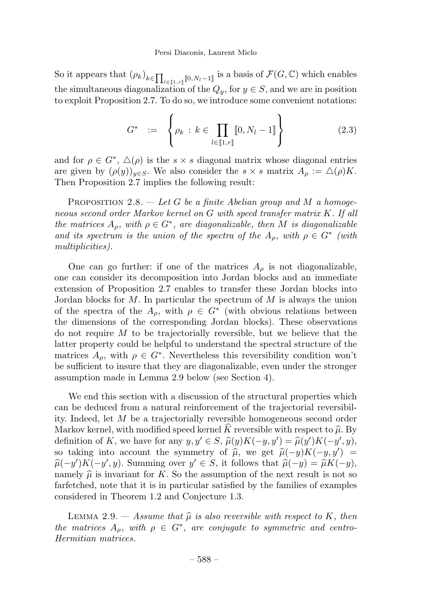So it appears that  $(\rho_k)_{k \in \prod_{l \in [1,r]} [0,N_l-1]}$  is a basis of  $\mathcal{F}(G, \mathbb{C})$  which enables the simultaneous diagonalization of the  $Q_y$ , for  $y \in S$ , and we are in position to exploit Proposition 2.7. To do so, we introduce some convenient notations:

$$
G^* := \left\{ \rho_k \, : \, k \in \prod_{l \in [\![ 1,r ]\!]} [0, N_l - 1] \right\} \tag{2.3}
$$

and for  $\rho \in G^*$ ,  $\Delta(\rho)$  is the  $s \times s$  diagonal matrix whose diagonal entries are given by  $(\rho(y))_{y\in S}$ . We also consider the  $s \times s$  matrix  $A_\rho := \triangle(\rho)K$ . Then Proposition 2.7 implies the following result:

PROPOSITION 2.8.  $-$  Let G be a finite Abelian group and M a homogeneous second order Markov kernel on G with speed transfer matrix K. If all the matrices  $A_{\rho}$ , with  $\rho \in G^*$ , are diagonalizable, then M is diagonalizable and its spectrum is the union of the spectra of the  $A_{\rho}$ , with  $\rho \in G^*$  (with multiplicities).

One can go further: if one of the matrices  $A_{\rho}$  is not diagonalizable, one can consider its decomposition into Jordan blocks and an immediate extension of Proposition 2.7 enables to transfer these Jordan blocks into Jordan blocks for M. In particular the spectrum of M is always the union of the spectra of the  $A_{\rho}$ , with  $\rho \in G^*$  (with obvious relations between the dimensions of the corresponding Jordan blocks). These observations do not require  $M$  to be trajectorially reversible, but we believe that the latter property could be helpful to understand the spectral structure of the matrices  $A_{\rho}$ , with  $\rho \in G^*$ . Nevertheless this reversibility condition won't be sufficient to insure that they are diagonalizable, even under the stronger assumption made in Lemma 2.9 below (see Section 4).

We end this section with a discussion of the structural properties which can be deduced from a natural reinforcement of the trajectorial reversibility. Indeed, let M be a trajectorially reversible homogeneous second order Markov kernel, with modified speed kernel K reversible with respect to  $\hat{\mu}$ . By definition of K, we have for any  $y, y' \in S$ ,  $\widehat{\mu}(y)K(-y, y') = \widehat{\mu}(y')K(-y', y)$ , so taking into account the symmetry of  $\hat{\mu}$ , we get  $\hat{\mu}(-y)K(-y, y') =$  $\widehat{\mu}(-y')K(-y',y)$ . Summing over  $y' \in S$ , it follows that  $\widehat{\mu}(-y) = \widehat{\mu}K(-y)$ , namely  $\hat{\mu}$  is invariant for K. So the assumption of the next result is not so farfetched, note that it is in particular satisfied by the families of examples considered in Theorem 1.2 and Conjecture 1.3.

LEMMA 2.9. — Assume that  $\hat{\mu}$  is also reversible with respect to K, then the matrices  $A_{\rho}$ , with  $\rho \in G^*$ , are conjugate to symmetric and centro-Hermitian matrices.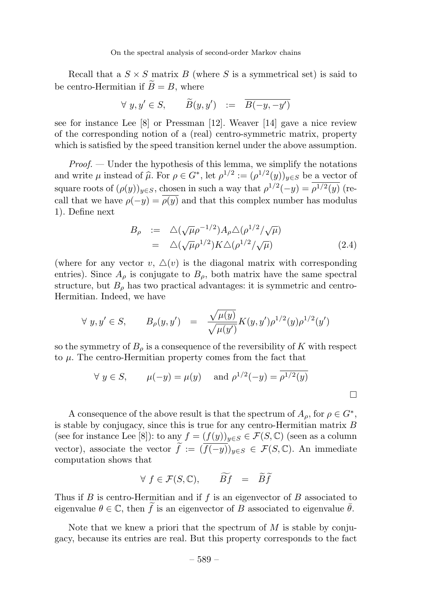Recall that a  $S \times S$  matrix B (where S is a symmetrical set) is said to be centro-Hermitian if  $B = B$ , where

$$
\forall y, y' \in S, \qquad \widetilde{B}(y, y') \ := \ \overline{B(-y, -y')}
$$

see for instance Lee [8] or Pressman [12]. Weaver [14] gave a nice review of the corresponding notion of a (real) centro-symmetric matrix, property which is satisfied by the speed transition kernel under the above assumption.

 $Proof.$  — Under the hypothesis of this lemma, we simplify the notations and write  $\mu$  instead of  $\hat{\mu}$ . For  $\rho \in G^*$ , let  $\rho^{1/2} := (\rho^{1/2}(y))_{y \in S}$  be a vector of square roots of  $(\rho(y))_{y\in S}$ , chosen in such a way that  $\rho^{1/2}(-y) = \overline{\rho^{1/2}(y)}$  (recall that we have  $\rho(-y) = \overline{\rho(y)}$  and that this complex number has modulus 1). Define next

$$
B_{\rho} := \Delta(\sqrt{\mu}\rho^{-1/2})A_{\rho}\Delta(\rho^{1/2}/\sqrt{\mu})
$$
  
=  $\Delta(\sqrt{\mu}\rho^{1/2})K\Delta(\rho^{1/2}/\sqrt{\mu})$  (2.4)

(where for any vector v,  $\Delta(v)$  is the diagonal matrix with corresponding entries). Since  $A_{\rho}$  is conjugate to  $B_{\rho}$ , both matrix have the same spectral structure, but  $B_{\rho}$  has two practical advantages: it is symmetric and centro-Hermitian. Indeed, we have

$$
\forall y, y' \in S, \qquad B_{\rho}(y, y') = \frac{\sqrt{\mu(y)}}{\sqrt{\mu(y')}} K(y, y') \rho^{1/2}(y) \rho^{1/2}(y')
$$

so the symmetry of  $B_\rho$  is a consequence of the reversibility of K with respect to  $\mu$ . The centro-Hermitian property comes from the fact that

$$
\forall y \in S, \quad \mu(-y) = \mu(y) \quad \text{and } \rho^{1/2}(-y) = \overline{\rho^{1/2}(y)}
$$

A consequence of the above result is that the spectrum of  $A_{\rho}$ , for  $\rho \in G^*$ , is stable by conjugacy, since this is true for any centro-Hermitian matrix  $B$ (see for instance Lee [8]): to any  $f = (f(y))_{y \in S} \in \mathcal{F}(S, \mathbb{C})$  (seen as a column vector), associate the vector  $f := (f(-y))_{y \in S} \in \mathcal{F}(S, \mathbb{C})$ . An immediate computation shows that

$$
\forall f \in \mathcal{F}(S, \mathbb{C}), \qquad \widetilde{Bf} = \widetilde{Bf}
$$

Thus if B is centro-Hermitian and if f is an eigenvector of B associated to eigenvalue  $\theta \in \mathbb{C}$ , then  $\widetilde{f}$  is an eigenvector of B associated to eigenvalue  $\overline{\theta}$ .

Note that we knew a priori that the spectrum of  $M$  is stable by conjugacy, because its entries are real. But this property corresponds to the fact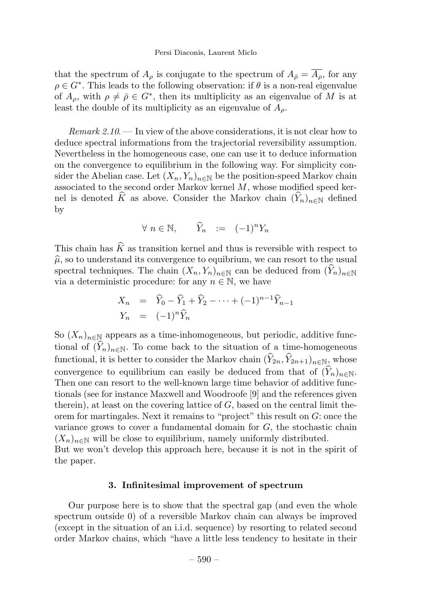#### Persi Diaconis, Laurent Miclo

that the spectrum of  $A_\rho$  is conjugate to the spectrum of  $A_{\bar{\rho}} = \overline{A_\rho}$ , for any  $\rho \in G^*$ . This leads to the following observation: if  $\theta$  is a non-real eigenvalue of  $A_{\rho}$ , with  $\rho \neq \overline{\rho} \in G^*$ , then its multiplicity as an eigenvalue of M is at least the double of its multiplicity as an eigenvalue of  $A<sub>o</sub>$ .

 $Remark 2.10$  — In view of the above considerations, it is not clear how to deduce spectral informations from the trajectorial reversibility assumption. Nevertheless in the homogeneous case, one can use it to deduce information on the convergence to equilibrium in the following way. For simplicity consider the Abelian case. Let  $(X_n, Y_n)_{n \in \mathbb{N}}$  be the position-speed Markov chain associated to the second order Markov kernel  $M$ , whose modified speed kernel is denoted  $\widehat{K}$  as above. Consider the Markov chain  $(\widehat{Y}_n)_{n\in\mathbb{N}}$  defined by

$$
\forall n \in \mathbb{N}, \qquad \widehat{Y}_n \quad := \quad (-1)^n Y_n
$$

This chain has  $\hat{K}$  as transition kernel and thus is reversible with respect to  $\hat{\mu}$ , so to understand its convergence to equibrium, we can resort to the usual spectral techniques. The chain  $(X_n, Y_n)_{n \in \mathbb{N}}$  can be deduced from  $(\widehat{Y}_n)_{n \in \mathbb{N}}$ via a deterministic procedure: for any  $n \in \mathbb{N}$ , we have

$$
X_n = \hat{Y}_0 - \hat{Y}_1 + \hat{Y}_2 - \dots + (-1)^{n-1} \hat{Y}_{n-1}
$$
  
\n
$$
Y_n = (-1)^n \hat{Y}_n
$$

So  $(X_n)_{n\in\mathbb{N}}$  appears as a time-inhomogeneous, but periodic, additive functional of  $(\widehat{Y}_n)_{n\in\mathbb{N}}$ . To come back to the situation of a time-homogeneous functional, it is better to consider the Markov chain  $(\widehat{Y}_{2n}, \widehat{Y}_{2n+1})_{n\in\mathbb{N}}$ , whose convergence to equilibrium can easily be deduced from that of  $(\hat{Y}_n)_{n\in\mathbb{N}}$ . Then one can resort to the well-known large time behavior of additive functionals (see for instance Maxwell and Woodroofe [9] and the references given therein), at least on the covering lattice of  $G$ , based on the central limit theorem for martingales. Next it remains to "project" this result on  $G$ : once the variance grows to cover a fundamental domain for  $G$ , the stochastic chain  $(X_n)_{n\in\mathbb{N}}$  will be close to equilibrium, namely uniformly distributed.

But we won't develop this approach here, because it is not in the spirit of the paper.

#### 3. Infinitesimal improvement of spectrum

Our purpose here is to show that the spectral gap (and even the whole spectrum outside 0) of a reversible Markov chain can always be improved (except in the situation of an i.i.d. sequence) by resorting to related second order Markov chains, which "have a little less tendency to hesitate in their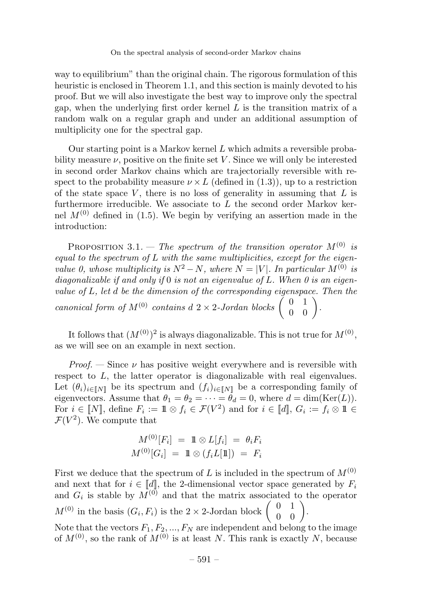way to equilibrium" than the original chain. The rigorous formulation of this heuristic is enclosed in Theorem 1.1, and this section is mainly devoted to his proof. But we will also investigate the best way to improve only the spectral gap, when the underlying first order kernel  $L$  is the transition matrix of a random walk on a regular graph and under an additional assumption of multiplicity one for the spectral gap.

Our starting point is a Markov kernel  $L$  which admits a reversible probability measure  $\nu$ , positive on the finite set V. Since we will only be interested in second order Markov chains which are trajectorially reversible with respect to the probability measure  $\nu \times L$  (defined in (1.3)), up to a restriction of the state space V, there is no loss of generality in assuming that  $L$  is furthermore irreducible. We associate to  $L$  the second order Markov kernel  $M^{(0)}$  defined in (1.5). We begin by verifying an assertion made in the introduction:

PROPOSITION 3.1. — The spectrum of the transition operator  $M^{(0)}$  is  $equal to the spectrum of L with the same multiplicities, except for the eigen$ value 0, whose multiplicity is  $N^2 - N$ , where  $N = |V|$ . In particular  $M^{(0)}$  is diagonalizable if and only if  $0$  is not an eigenvalue of  $L$ . When  $0$  is an eigenvalue of  $L$ , let  $d$  be the dimension of the corresponding eigenspace. Then the canonical form of  $M^{(0)}$  contains  $d$  2 × 2-Jordan blocks  $\begin{pmatrix} 0 & 1 \\ 0 & 0 \end{pmatrix}$ .

It follows that  $(M^{(0)})^2$  is always diagonalizable. This is not true for  $M^{(0)}$ , as we will see on an example in next section.

*Proof.* — Since  $\nu$  has positive weight everywhere and is reversible with respect to L, the latter operator is diagonalizable with real eigenvalues. Let  $(\theta_i)_{i\in\llbracket N\rrbracket}$  be its spectrum and  $(f_i)_{i\in\llbracket N\rrbracket}$  be a corresponding family of eigenvectors. Assume that  $\theta_1 = \theta_2 = \cdots = \theta_d = 0$ , where  $d = \dim(\text{Ker}(L))$ . For  $i \in [N]$ , define  $F_i := \mathbb{1} \otimes f_i \in \mathcal{F}(V^2)$  and for  $i \in [d]$ ,  $G_i := f_i \otimes \mathbb{1} \in$  $\mathcal{F}(V^2)$ . We compute that

$$
M^{(0)}[F_i] = 1 \otimes L[f_i] = \theta_i F_i
$$
  

$$
M^{(0)}[G_i] = 1 \otimes (f_i L[1]) = F_i
$$

First we deduce that the spectrum of L is included in the spectrum of  $M^{(0)}$ and next that for  $i \in [d]$ , the 2-dimensional vector space generated by  $F_i$ and  $G_i$  is stable by  $\overline{M}^{(0)}$  and that the matrix associated to the operator  $M^{(0)}$  in the basis  $(G_i, F_i)$  is the 2 × 2-Jordan block  $\begin{pmatrix} 0 & 1 \\ 0 & 0 \end{pmatrix}$ . Note that the vectors  $F_1, F_2, ..., F_N$  are independent and belong to the image

of  $M^{(0)}$ , so the rank of  $M^{(0)}$  is at least N. This rank is exactly N, because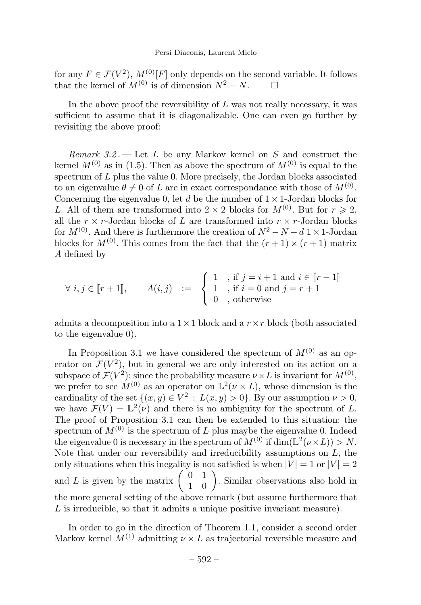for any  $F \in \mathcal{F}(V^2)$ ,  $M^{(0)}[F]$  only depends on the second variable. It follows that the kernel of  $M^{(0)}$  is of dimension  $N^2 - N$ that the kernel of  $M^{(0)}$  is of dimension  $N^2 - N$ .

In the above proof the reversibility of  $L$  was not really necessary, it was sufficient to assume that it is diagonalizable. One can even go further by revisiting the above proof:

Remark  $3.2$ . - Let L be any Markov kernel on S and construct the kernel  $M^{(0)}$  as in (1.5). Then as above the spectrum of  $M^{(0)}$  is equal to the spectrum of L plus the value 0. More precisely, the Jordan blocks associated to an eigenvalue  $\theta \neq 0$  of L are in exact correspondance with those of  $M^{(0)}$ . Concerning the eigenvalue 0, let d be the number of  $1 \times 1$ -Jordan blocks for L. All of them are transformed into  $2 \times 2$  blocks for  $M^{(0)}$ . But for  $r \geq 2$ , all the  $r \times r$ -Jordan blocks of L are transformed into  $r \times r$ -Jordan blocks for  $M^{(0)}$ . And there is furthermore the creation of  $N^2 - N - d$  1 × 1-Jordan blocks for  $M^{(0)}$ . This comes from the fact that the  $(r+1) \times (r+1)$  matrix A defined by

$$
\forall i, j \in \llbracket r+1 \rrbracket, \qquad A(i,j) \quad := \quad \begin{cases} \begin{array}{c} 1 & \text{if } j = i+1 \text{ and } i \in \llbracket r-1 \rrbracket \\ 1 & \text{if } i = 0 \text{ and } j = r+1 \\ 0 & \text{, otherwise} \end{array} \end{cases}
$$

admits a decomposition into a  $1 \times 1$  block and a  $r \times r$  block (both associated to the eigenvalue 0).

In Proposition 3.1 we have considered the spectrum of  $M^{(0)}$  as an operator on  $\mathcal{F}(V^2)$ , but in general we are only interested on its action on a subspace of  $\mathcal{F}(V^2)$ : since the probability measure  $\nu \times L$  is invariant for  $M^{(0)}$ , we prefer to see  $M^{(0)}$  as an operator on  $\mathbb{L}^2(\nu \times L)$ , whose dimension is the cardinality of the set  $\{(x, y) \in V^2 : L(x, y) > 0\}$ . By our assumption  $\nu > 0$ , we have  $\mathcal{F}(V) = \mathbb{L}^2(\nu)$  and there is no ambiguity for the spectrum of L. The proof of Proposition 3.1 can then be extended to this situation: the spectrum of  $M^{(0)}$  is the spectrum of L plus maybe the eigenvalue 0. Indeed the eigenvalue 0 is necessary in the spectrum of  $M^{(0)}$  if  $\dim(\mathbb{L}^2(\nu \times L)) > N$ . Note that under our reversibility and irreducibility assumptions on  $L$ , the only situations when this inegality is not satisfied is when  $|V| = 1$  or  $|V| = 2$ and L is given by the matrix  $\begin{pmatrix} 0 & 1 \\ 1 & 0 \end{pmatrix}$ . Similar observations also hold in the more general setting of the above remark (but assume furthermore that L is irreducible, so that it admits a unique positive invariant measure).

In order to go in the direction of Theorem 1.1, consider a second order Markov kernel  $M^{(1)}$  admitting  $\nu \times L$  as trajectorial reversible measure and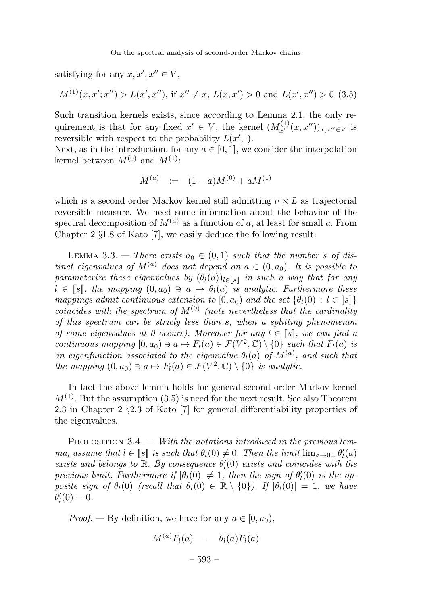satisfying for any  $x, x', x'' \in V$ ,

$$
M^{(1)}(x, x'; x'') > L(x', x'')
$$
, if  $x'' \neq x$ ,  $L(x, x') > 0$  and  $L(x', x'') > 0$  (3.5)

Such transition kernels exists, since according to Lemma 2.1, the only requirement is that for any fixed  $x' \in V$ , the kernel  $(M_{x'}^{(1)}(x, x''))_{x, x'' \in V}$  is reversible with respect to the probability  $L(x', \cdot)$ .

Next, as in the introduction, for any  $a \in [0, 1]$ , we consider the interpolation kernel between  $M^{(0)}$  and  $M^{(1)}$ :

$$
M^{(a)} \quad := \quad (1-a)M^{(0)} + aM^{(1)}
$$

which is a second order Markov kernel still admitting  $\nu \times L$  as trajectorial reversible measure. We need some information about the behavior of the spectral decomposition of  $M^{(a)}$  as a function of a, at least for small a. From Chapter 2 §1.8 of Kato [7], we easily deduce the following result:

LEMMA 3.3. — There exists  $a_0 \in (0,1)$  such that the number s of distinct eigenvalues of  $M^{(a)}$  does not depend on  $a \in (0, a_0)$ . It is possible to parameterize these eigenvalues by  $(\theta_l(a))_{l\in\mathbb{R}^3}$  in such a way that for any  $l \in \llbracket s \rrbracket$ , the mapping  $(0, a_0) \ni a \mapsto \theta_l(a)$  is analytic. Furthermore these mappings admit continuous extension to  $[0, a_0)$  and the set  $\{\theta_l(0) : l \in \llbracket s \rrbracket\}$ coincides with the spectrum of  $M^{(0)}$  (note nevertheless that the cardinality of this spectrum can be stricly less than s, when a splitting phenomenon of some eigenvalues at 0 occurs). Moreover for any  $l \in \llbracket s \rrbracket$ , we can find a continuous mapping  $[0, a_0) \ni a \mapsto F_l(a) \in \mathcal{F}(V^2, \mathbb{C}) \setminus \{0\}$  such that  $F_l(a)$  is an eigenfunction associated to the eigenvalue  $\theta_l(a)$  of  $M^{(a)}$ , and such that the mapping  $(0, a_0) \ni a \mapsto F_I(a) \in \mathcal{F}(V^2, \mathbb{C}) \setminus \{0\}$  is analytic.

In fact the above lemma holds for general second order Markov kernel  $M^{(1)}$ . But the assumption (3.5) is need for the next result. See also Theorem 2.3 in Chapter 2 §2.3 of Kato [7] for general differentiability properties of the eigenvalues.

PROPOSITION  $3.4.$  — With the notations introduced in the previous lemma, assume that  $l \in [s]$  is such that  $\theta_l(0) \neq 0$ . Then the limit  $\lim_{a\to 0_+} \theta'_l(a)$ exists and belongs to  $\mathbb{R}$ . By consequence  $\theta'_{l}(0)$  exists and coincides with the previous limit. Furthermore if  $|\theta_l(0)| \neq 1$ , then the sign of  $\theta'_l(0)$  is the opposite sign of  $\theta_l(0)$  (recall that  $\theta_l(0) \in \mathbb{R} \setminus \{0\}$ ). If  $|\theta_l(0)| = 1$ , we have  $\theta'_l(0)=0.$ 

*Proof.* — By definition, we have for any  $a \in [0, a_0)$ ,

$$
M^{(a)}F_l(a) = \theta_l(a)F_l(a)
$$

$$
-593-
$$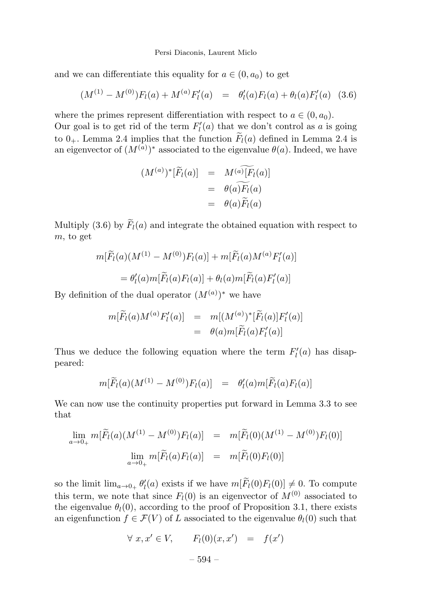#### Persi Diaconis, Laurent Miclo

and we can differentiate this equality for  $a \in (0, a_0)$  to get

$$
(M^{(1)} - M^{(0)})F_l(a) + M^{(a)}F'_l(a) = \theta'_l(a)F_l(a) + \theta_l(a)F'_l(a)
$$
 (3.6)

where the primes represent differentiation with respect to  $a \in (0, a_0)$ .

Our goal is to get rid of the term  $F_l'(a)$  that we don't control as a is going to  $0_+$ . Lemma 2.4 implies that the function  $F_l(a)$  defined in Lemma 2.4 is an eigenvector of  $(M^{(a)})^*$  associated to the eigenvalue  $\theta(a)$ . Indeed, we have

$$
(M^{(a)})^*[\widetilde{F}_l(a)] = M^{(a)}[F_l(a)]
$$
  
=  $\theta(a)\widetilde{F}_l(a)$   
=  $\theta(a)\widetilde{F}_l(a)$ 

Multiply (3.6) by  $F_l(a)$  and integrate the obtained equation with respect to m, to get

$$
m[\widetilde{F}_l(a)(M^{(1)} - M^{(0)})F_l(a)] + m[\widetilde{F}_l(a)M^{(a)}F'_l(a)]
$$
  
= 
$$
\theta'_l(a)m[\widetilde{F}_l(a)F_l(a)] + \theta_l(a)m[\widetilde{F}_l(a)F'_l(a)]
$$

By definition of the dual operator  $(M^{(a)})^*$  we have

$$
m[\widetilde{F}_l(a)M^{(a)}F'_l(a)] = m[(M^{(a)})^*[\widetilde{F}_l(a)]F'_l(a)]
$$
  
=  $\theta(a)m[\widetilde{F}_l(a)F'_l(a)]$ 

Thus we deduce the following equation where the term  $F'_{l}(a)$  has disappeared:

$$
m[\widetilde{F}_l(a)(M^{(1)} - M^{(0)})F_l(a)] = \theta'_l(a)m[\widetilde{F}_l(a)F_l(a)]
$$

We can now use the continuity properties put forward in Lemma 3.3 to see that

$$
\lim_{a \to 0_{+}} m[\widetilde{F}_l(a)(M^{(1)} - M^{(0)})F_l(a)] = m[\widetilde{F}_l(0)(M^{(1)} - M^{(0)})F_l(0)]
$$
  

$$
\lim_{a \to 0_{+}} m[\widetilde{F}_l(a)F_l(a)] = m[\widetilde{F}_l(0)F_l(0)]
$$

so the limit  $\lim_{a\to 0_+} \theta'_l(a)$  exists if we have  $m[F_l(0)F_l(0)] \neq 0$ . To compute this term, we note that since  $F_l(0)$  is an eigenvector of  $M^{(0)}$  associated to the eigenvalue  $\theta_l(0)$ , according to the proof of Proposition 3.1, there exists an eigenfunction  $f \in \mathcal{F}(V)$  of L associated to the eigenvalue  $\theta_l(0)$  such that

$$
\forall x, x' \in V, \qquad F_l(0)(x, x') = f(x')
$$

$$
-594- \nonumber\\
$$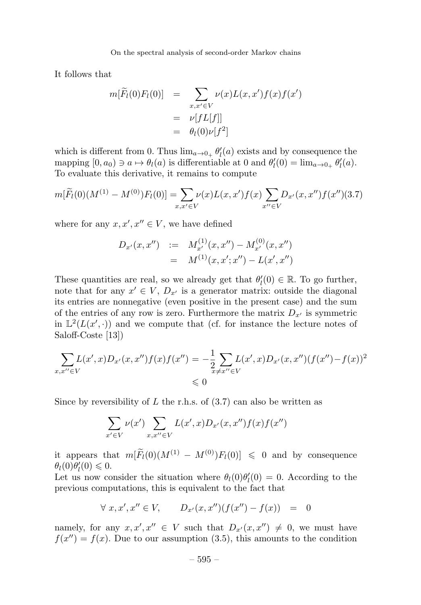It follows that

$$
m[\widetilde{F}_l(0)F_l(0)] = \sum_{x,x' \in V} \nu(x)L(x,x')f(x)f(x')
$$
  
= 
$$
\nu[fL[f]]
$$
  
= 
$$
\theta_l(0)\nu[f^2]
$$

which is different from 0. Thus  $\lim_{a\to 0_+} \theta'_l(a)$  exists and by consequence the mapping  $[0, a_0) \ni a \mapsto \theta_l(a)$  is differentiable at 0 and  $\theta'_l(0) = \lim_{a \to 0_+} \theta'_l(a)$ . To evaluate this derivative, it remains to compute

$$
m[\widetilde{F}_l(0)(M^{(1)} - M^{(0)})F_l(0)] = \sum_{x,x' \in V} \nu(x)L(x,x')f(x) \sum_{x'' \in V} D_{x'}(x,x'')f(x'')(3.7)
$$

where for any  $x, x', x'' \in V$ , we have defined

$$
D_{x'}(x, x'') := M_{x'}^{(1)}(x, x'') - M_{x'}^{(0)}(x, x'')
$$
  
= 
$$
M^{(1)}(x, x'; x'') - L(x', x'')
$$

These quantities are real, so we already get that  $\theta_l'(0) \in \mathbb{R}$ . To go further, note that for any  $x' \in V$ ,  $D_{x'}$  is a generator matrix: outside the diagonal its entries are nonnegative (even positive in the present case) and the sum of the entries of any row is zero. Furthermore the matrix  $D_{x'}$  is symmetric in  $\mathbb{L}^2(L(x',\cdot))$  and we compute that (cf. for instance the lecture notes of Saloff-Coste [13])

$$
\sum_{x,x'' \in V} L(x',x)D_{x'}(x,x'')f(x)f(x'') = -\frac{1}{2} \sum_{x \neq x'' \in V} L(x',x)D_{x'}(x,x'')(f(x'')-f(x))^2
$$
  

$$
\leq 0
$$

Since by reversibility of  $L$  the r.h.s. of  $(3.7)$  can also be written as

$$
\sum_{x' \in V} \nu(x') \sum_{x, x'' \in V} L(x', x) D_{x'}(x, x'') f(x) f(x'')
$$

it appears that  $m[F_l(0)(M^{(1)} - M^{(0)})F_l(0)] \leq 0$  and by consequence  $\theta_l(0)\theta'_l(0)\leqslant 0.$ 

Let us now consider the situation where  $\theta_l(0)\theta'_l(0) = 0$ . According to the previous computations, this is equivalent to the fact that

$$
\forall x, x', x'' \in V, \qquad D_{x'}(x, x'')(f(x'') - f(x)) = 0
$$

namely, for any  $x, x', x'' \in V$  such that  $D_{x'}(x, x'') \neq 0$ , we must have  $f(x'') = f(x)$ . Due to our assumption (3.5), this amounts to the condition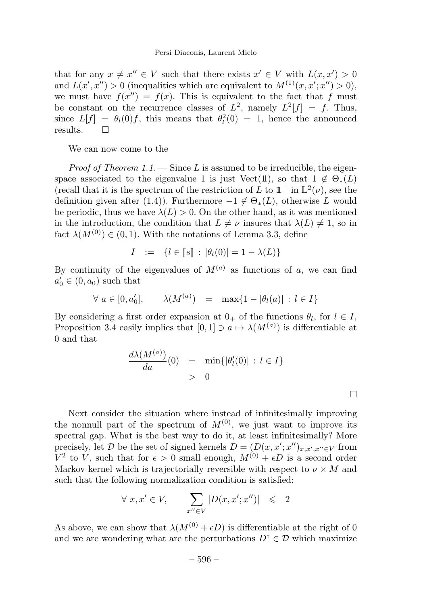that for any  $x \neq x'' \in V$  such that there exists  $x' \in V$  with  $L(x, x') > 0$ and  $L(x', x'') > 0$  (inequalities which are equivalent to  $M^{(1)}(x, x'; x'') > 0$ ), we must have  $f(x'') = f(x)$ . This is equivalent to the fact that f must be constant on the recurrence classes of  $L^2$ , namely  $L^2[f] = f$ . Thus, since  $L[f] = \theta_l(0)f$ , this means that  $\theta_l^2(0) = 1$ , hence the announced results.  $\square$ 

We can now come to the

*Proof of Theorem 1.1.*  $\longrightarrow$  Since L is assumed to be irreducible, the eigenspace associated to the eigenvalue 1 is just Vect(1), so that  $1 \notin \Theta_*(L)$ (recall that it is the spectrum of the restriction of L to  $\mathbb{1}^{\perp}$  in  $\mathbb{L}^{2}(\nu)$ , see the definition given after (1.4)). Furthermore  $-1 \notin \Theta_*(L)$ , otherwise L would be periodic, thus we have  $\lambda(L) > 0$ . On the other hand, as it was mentioned in the introduction, the condition that  $L \neq \nu$  insures that  $\lambda(L) \neq 1$ , so in fact  $\lambda(M^{(0)}) \in (0,1)$ . With the notations of Lemma 3.3, define

$$
I := \{l \in [s] : |\theta_l(0)| = 1 - \lambda(L)\}
$$

By continuity of the eigenvalues of  $M^{(a)}$  as functions of a, we can find  $a'_0 \in (0, a_0)$  such that

$$
\forall a \in [0, a'_0], \qquad \lambda(M^{(a)}) = \max\{1 - |\theta_l(a)| : l \in I\}
$$

By considering a first order expansion at  $0_+$  of the functions  $\theta_l$ , for  $l \in I$ , Proposition 3.4 easily implies that  $[0,1] \ni a \mapsto \lambda(M^{(a)})$  is differentiable at 0 and that

$$
\frac{d\lambda(M^{(a)})}{da}(0) = \min\{|\theta'_l(0)| : l \in I\}
$$
  
> 0

 $\Box$ 

Next consider the situation where instead of infinitesimally improving the nonnull part of the spectrum of  $M^{(0)}$ , we just want to improve its spectral gap. What is the best way to do it, at least infinitesimally? More precisely, let D be the set of signed kernels  $D = (D(x, x'; x'')_{x,x',x'' \in V}$  from  $V^2$  to V, such that for  $\epsilon > 0$  small enough,  $M^{(0)} + \epsilon D$  is a second order Markov kernel which is trajectorially reversible with respect to  $\nu \times M$  and such that the following normalization condition is satisfied:

$$
\forall x, x' \in V, \qquad \sum_{x'' \in V} |D(x, x'; x'')| \leq 2
$$

As above, we can show that  $\lambda(M^{(0)} + \epsilon D)$  is differentiable at the right of 0 and we are wondering what are the perturbations  $D^{\dagger} \in \mathcal{D}$  which maximize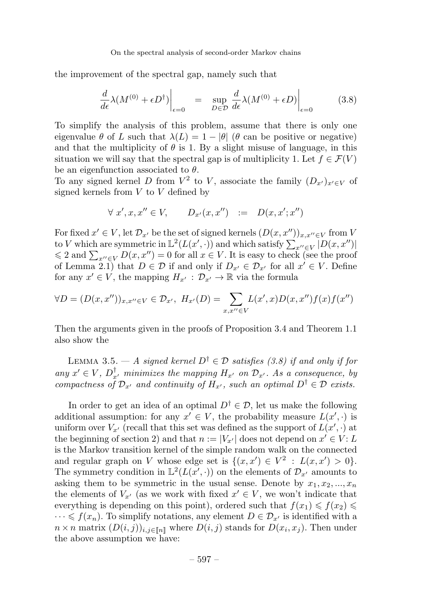the improvement of the spectral gap, namely such that

$$
\frac{d}{d\epsilon}\lambda(M^{(0)} + \epsilon D^{\dagger})\Big|_{\epsilon=0} = \sup_{D \in \mathcal{D}} \frac{d}{d\epsilon}\lambda(M^{(0)} + \epsilon D)\Big|_{\epsilon=0}
$$
(3.8)

To simplify the analysis of this problem, assume that there is only one eigenvalue  $\theta$  of L such that  $\lambda(L)=1 - |\theta|$  ( $\theta$  can be positive or negative) and that the multiplicity of  $\theta$  is 1. By a slight misuse of language, in this situation we will say that the spectral gap is of multiplicity 1. Let  $f \in \mathcal{F}(V)$ be an eigenfunction associated to  $\theta$ .

To any signed kernel D from  $V^2$  to V, associate the family  $(D_{x'})_{x'\in V}$  of signed kernels from  $V$  to  $V$  defined by

$$
\forall x', x, x'' \in V, \qquad D_{x'}(x, x'') \quad := \quad D(x, x'; x'')
$$

For fixed  $x' \in V$ , let  $\mathcal{D}_{x'}$  be the set of signed kernels  $(D(x, x''))_{x,x'' \in V}$  from V to V which are symmetric in  $\mathbb{L}^2(L(x',\cdot))$  and which satisfy  $\sum_{x'' \in V} |D(x,x'')|$  $\leq 2$  and  $\sum_{x'' \in V} D(x, x'') = 0$  for all  $x \in V$ . It is easy to check (see the proof of Lemma 2.1) that  $D \in \mathcal{D}$  if and only if  $D_{x'} \in \mathcal{D}_{x'}$  for all  $x' \in V$ . Define for any  $x' \in V$ , the mapping  $H_{x'} : \mathcal{D}_{x'} \to \mathbb{R}$  via the formula

$$
\forall D = (D(x, x''))_{x, x'' \in V} \in \mathcal{D}_{x'}, \ H_{x'}(D) = \sum_{x, x'' \in V} L(x', x)D(x, x'')f(x)f(x'')
$$

Then the arguments given in the proofs of Proposition 3.4 and Theorem 1.1 also show the

LEMMA 3.5. — A signed kernel  $D^{\dagger} \in \mathcal{D}$  satisfies (3.8) if and only if for any  $x' \in V$ ,  $D_{x'}^{\dagger}$  minimizes the mapping  $H_{x'}$  on  $\mathcal{D}_{x'}$ . As a consequence, by compactness of  $\mathcal{D}_{x'}$  and continuity of  $H_{x'}$ , such an optimal  $D^{\dagger} \in \mathcal{D}$  exists.

In order to get an idea of an optimal  $D^{\dagger} \in \mathcal{D}$ , let us make the following additional assumption: for any  $x' \in V$ , the probability measure  $L(x', \cdot)$  is uniform over  $V_{x'}$  (recall that this set was defined as the support of  $L(x', \cdot)$  at the beginning of section 2) and that  $n := |V_{x'}|$  does not depend on  $x' \in V : L$ is the Markov transition kernel of the simple random walk on the connected and regular graph on V whose edge set is  $\{(x, x') \in V^2 : L(x, x') > 0\}.$ The symmetry condition in  $\mathbb{L}^2(L(x',\cdot))$  on the elements of  $\mathcal{D}_{x'}$  amounts to asking them to be symmetric in the usual sense. Denote by  $x_1, x_2, ..., x_n$ the elements of  $V_{x'}$  (as we work with fixed  $x' \in V$ , we won't indicate that everything is depending on this point), ordered such that  $f(x_1) \leqslant f(x_2) \leqslant$  $\cdots \leqslant f(x_n)$ . To simplify notations, any element  $D \in \mathcal{D}_{x'}$  is identified with a  $n \times n$  matrix  $(D(i, j))_{i,j \in [\![ n ]\!]}$  where  $D(i, j)$  stands for  $D(x_i, x_j)$ . Then under the above assumption we have: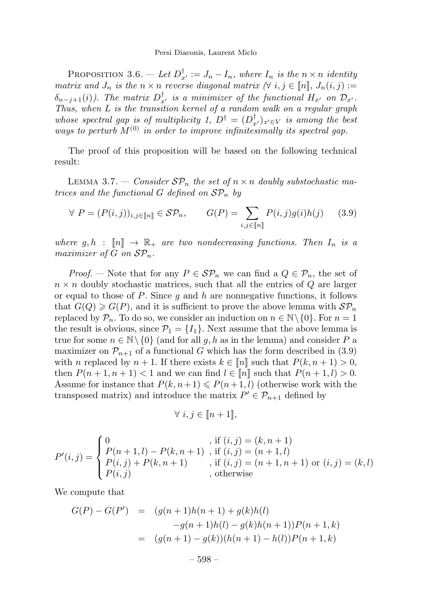#### Persi Diaconis, Laurent Miclo

PROPOSITION 3.6. — Let  $D_{x'}^{\dagger} := J_n - I_n$ , where  $I_n$  is the  $n \times n$  identity matrix and  $J_n$  is the  $n \times n$  reverse diagonal matrix  $(\forall i, j \in [n], J_n(i, j) :=$  $\delta_{n-j+1}(i)$ ). The matrix  $D_{x'}^{\dagger}$  is a minimizer of the functional  $H_{x'}$  on  $\mathcal{D}_{x'}$ . Thus, when L is the transition kernel of a random walk on a regular graph whose spectral gap is of multiplicity 1,  $D^{\dagger} = (D_{x}^{\dagger})_{x' \in V}$  is among the best ways to perturb  $M^{(0)}$  in order to improve infinitesimally its spectral gap.

The proof of this proposition will be based on the following technical result:

LEMMA 3.7. — Consider  $\mathcal{SP}_n$  the set of  $n \times n$  doubly substochastic matrices and the functional G defined on  $\mathcal{SP}_n$  by

$$
\forall P = (P(i,j))_{i,j \in [\![n]\!]} \in \mathcal{SP}_n, \qquad G(P) = \sum_{i,j \in [\![n]\!]} P(i,j)g(i)h(j) \qquad (3.9)
$$

where  $g, h : \llbracket n \rrbracket \rightarrow \mathbb{R}_+$  are two nondecreasing functions. Then  $I_n$  is a maximizer of G on  $\mathcal{SP}_n$ .

*Proof.* — Note that for any  $P \in \mathcal{SP}_n$  we can find a  $Q \in \mathcal{P}_n$ , the set of  $n \times n$  doubly stochastic matrices, such that all the entries of Q are larger or equal to those of  $P$ . Since  $g$  and  $h$  are nonnegative functions, it follows that  $G(Q) \geq G(P)$ , and it is sufficient to prove the above lemma with  $\mathcal{SP}_n$ replaced by  $\mathcal{P}_n$ . To do so, we consider an induction on  $n \in \mathbb{N} \setminus \{0\}$ . For  $n = 1$ the result is obvious, since  $\mathcal{P}_1 = \{I_1\}$ . Next assume that the above lemma is true for some  $n \in \mathbb{N} \setminus \{0\}$  (and for all g, h as in the lemma) and consider P a maximizer on  $\mathcal{P}_{n+1}$  of a functional G which has the form described in (3.9) with n replaced by  $n + 1$ . If there exists  $k \in [n]$  such that  $P(k, n + 1) > 0$ , then  $P(n+1, n+1) < 1$  and we can find  $l \in [n]$  such that  $P(n+1, l) > 0$ . Assume for instance that  $P(k, n+1) \leq P(n+1, l)$  (otherwise work with the transposed matrix) and introduce the matrix  $P' \in \mathcal{P}_{n+1}$  defined by

$$
\forall i, j \in [\![ n+1 ]\!],
$$

$$
P'(i,j) = \begin{cases} 0 & \text{, if } (i,j) = (k, n+1) \\ P(n+1,l) - P(k, n+1) & \text{, if } (i,j) = (n+1,l) \\ P(i,j) + P(k, n+1) & \text{, if } (i,j) = (n+1, n+1) \text{ or } (i,j) = (k,l) \\ P(i,j) & \text{, otherwise} \end{cases}
$$

We compute that

$$
G(P) - G(P') = (g(n+1)h(n+1) + g(k)h(l)
$$
  

$$
-g(n+1)h(l) - g(k)h(n+1))P(n+1,k)
$$
  

$$
= (g(n+1) - g(k))(h(n+1) - h(l))P(n+1,k)
$$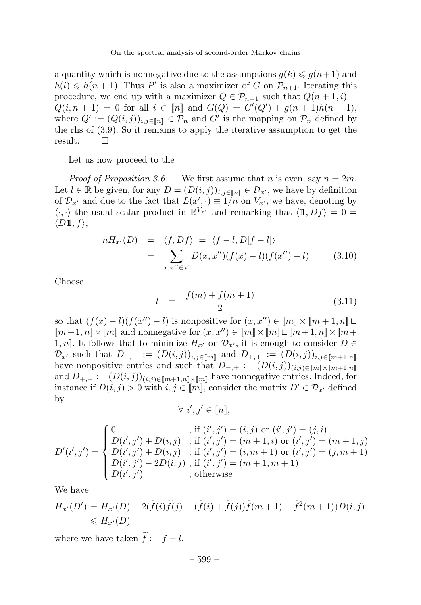a quantity which is nonnegative due to the assumptions  $g(k) \leqslant g(n+1)$  and  $h(l) \leq h(n + 1)$ . Thus P' is also a maximizer of G on  $\mathcal{P}_{n+1}$ . Iterating this procedure, we end up with a maximizer  $Q \in \mathcal{P}_{n+1}$  such that  $Q(n+1,i) =$  $Q(i, n + 1) = 0$  for all  $i \in [n]$  and  $G(Q) = G'(Q') + g(n + 1)h(n + 1)$ , where  $Q' := (Q(i, j))_{i,j \in [n]} \in \mathcal{P}_n$  and  $G'$  is the mapping on  $\mathcal{P}_n$  defined by the rhs of (3.9). So it remains to apply the iterative assumption to get the result.  $\square$ 

Let us now proceed to the

*Proof of Proposition 3.6.* — We first assume that *n* is even, say  $n = 2m$ . Let  $l \in \mathbb{R}$  be given, for any  $D = (D(i, j))_{i,j \in \llbracket n \rrbracket} \in \mathcal{D}_{x'}$ , we have by definition of  $\mathcal{D}_{x'}$  and due to the fact that  $L(x', \cdot) \equiv 1/n$  on  $V_{x'}$ , we have, denoting by  $\langle \cdot, \cdot \rangle$  the usual scalar product in  $\mathbb{R}^{V_{x'}}$  and remarking that  $\langle 1, Df \rangle = 0=$  $\langle D1\!\!1, f \rangle$ ,

$$
nH_{x'}(D) = \langle f, Df \rangle = \langle f - l, D[f - l] \rangle
$$
  
= 
$$
\sum_{x, x'' \in V} D(x, x'')(f(x) - l)(f(x'') - l) \qquad (3.10)
$$

Choose

$$
l = \frac{f(m) + f(m+1)}{2} \tag{3.11}
$$

so that  $(f(x) - l)(f(x'') - l)$  is nonpositive for  $(x, x'') \in [m] \times [m + 1, n] \sqcup$  $[m+1, n] \times [m]$  and nonnegative for  $(x, x'') \in [m] \times [m] \sqcup [m+1, n] \times [m+1]$ 1, n]. It follows that to minimize  $H_{x'}$  on  $\mathcal{D}_{x'}$ , it is enough to consider  $D \in$  $\mathcal{D}_{x'}$  such that  $D_{-,-} := (D(i,j))_{i,j\in[m]}$  and  $D_{+,+} := (D(i,j))_{i,j\in[m+1,n]}$ have nonpositive entries and such that  $D_{-,+} := (D(i,j))_{(i,j)\in[m]\times[m+1,n]}$ and  $D_{+,-}:=(D(i,j))_{(i,j)\in[m+1,n]\times[m]}$  have nonnegative entries. Indeed, for instance if  $D(i, j) > 0$  with  $i, j \in [m]$ , consider the matrix  $D' \in \mathcal{D}_{x'}$  defined by

$$
\forall i', j' \in [\![n]\!],
$$

$$
D'(i',j') = \begin{cases} 0 & \text{, if } (i',j') = (i,j) \text{ or } (i',j') = (j,i) \\ D(i',j') + D(i,j) & \text{, if } (i',j') = (m+1,i) \text{ or } (i',j') = (m+1,j) \\ D(i',j') + D(i,j) & \text{, if } (i',j') = (i,m+1) \text{ or } (i',j') = (j,m+1) \\ D(i',j') - 2D(i,j) & \text{, if } (i',j') = (m+1,m+1) \\ D(i',j') & \text{, otherwise} \end{cases}
$$

We have

$$
H_{x'}(D') = H_{x'}(D) - 2(\widetilde{f}(i)\widetilde{f}(j) - (\widetilde{f}(i) + \widetilde{f}(j))\widetilde{f}(m+1) + \widetilde{f}^2(m+1))D(i,j)
$$
  
\$\leqslant H\_{x'}(D)\$

where we have taken  $f := f - l$ .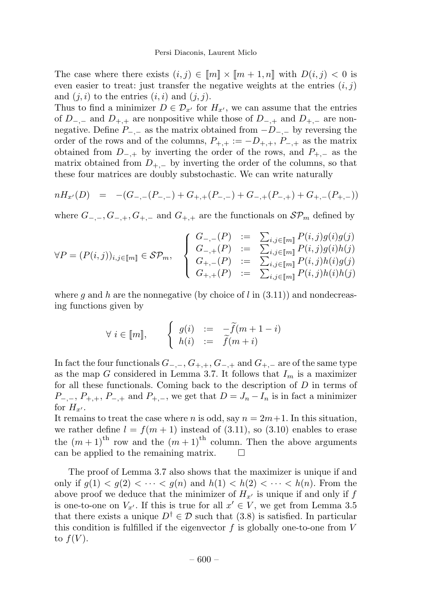The case where there exists  $(i, j) \in [m] \times [m + 1, n]$  with  $D(i, j) < 0$  is even easier to treat: just transfer the negative weights at the entries  $(i, j)$ and  $(j, i)$  to the entries  $(i, i)$  and  $(j, j)$ .

Thus to find a minimizer  $D \in \mathcal{D}_{x'}$  for  $H_{x'}$ , we can assume that the entries of  $D_{-,-}$  and  $D_{+,+}$  are nonpositive while those of  $D_{-,+}$  and  $D_{+,-}$  are nonnegative. Define  $P_{-,-}$  as the matrix obtained from  $-D_{-,-}$  by reversing the order of the rows and of the columns,  $P_{+,+} := -D_{+,+}$ ,  $P_{-,+}$  as the matrix obtained from  $D_{-,+}$  by inverting the order of the rows, and  $P_{+,-}$  as the matrix obtained from  $D_{+,-}$  by inverting the order of the columns, so that these four matrices are doubly substochastic. We can write naturally

$$
nH_{x'}(D) = -(G_{-, -}(P_{-, -}) + G_{+, +}(P_{-, -}) + G_{-, +}(P_{-, +}) + G_{+, -}(P_{+, -}))
$$

where  $G_{-,-}, G_{-,+}, G_{+,-}$  and  $G_{+,+}$  are the functionals on  $\mathcal{SP}_m$  defined by

$$
\forall P = (P(i,j))_{i,j \in [m]} \in \mathcal{SP}_m, \quad\n\begin{cases}\nG_{-, -}(P) &:= \sum_{i,j \in [m]} P(i,j)g(i)g(j) \\
G_{-, +}(P) &:= \sum_{i,j \in [m]} P(i,j)g(i)h(j) \\
G_{+, -}(P) &:= \sum_{i,j \in [m]} P(i,j)h(i)g(j) \\
G_{+, +}(P) &:= \sum_{i,j \in [m]} P(i,j)h(i)h(j)\n\end{cases}
$$

where q and h are the nonnegative (by choice of l in  $(3.11)$ ) and nondecreasing functions given by

$$
\forall i \in [m], \qquad \begin{cases} g(i) & := & -\widetilde{f}(m+1-i) \\ h(i) & := & \widetilde{f}(m+i) \end{cases}
$$

In fact the four functionals  $G_{-,-}, G_{+,+}, G_{-,+}$  and  $G_{+,-}$  are of the same type as the map G considered in Lemma 3.7. It follows that  $I_m$  is a maximizer for all these functionals. Coming back to the description of D in terms of  $P_{-,-}, P_{+,+}, P_{-,+}$  and  $P_{+,-}$ , we get that  $D = J_n - I_n$  is in fact a minimizer for  $H_{x'}$ .

It remains to treat the case where *n* is odd, say  $n = 2m+1$ . In this situation, we rather define  $l = f(m + 1)$  instead of (3.11), so (3.10) enables to erase the  $(m+1)$ <sup>th</sup> row and the  $(m+1)$ <sup>th</sup> column. Then the above arguments can be applied to the remaining matrix.

The proof of Lemma 3.7 also shows that the maximizer is unique if and only if  $g(1) < g(2) < \cdots < g(n)$  and  $h(1) < h(2) < \cdots < h(n)$ . From the above proof we deduce that the minimizer of  $H_{x'}$  is unique if and only if f is one-to-one on  $V_{x'}$ . If this is true for all  $x' \in V$ , we get from Lemma 3.5 that there exists a unique  $D^{\dagger} \in \mathcal{D}$  such that (3.8) is satisfied. In particular this condition is fulfilled if the eigenvector  $f$  is globally one-to-one from  $V$ to  $f(V)$ .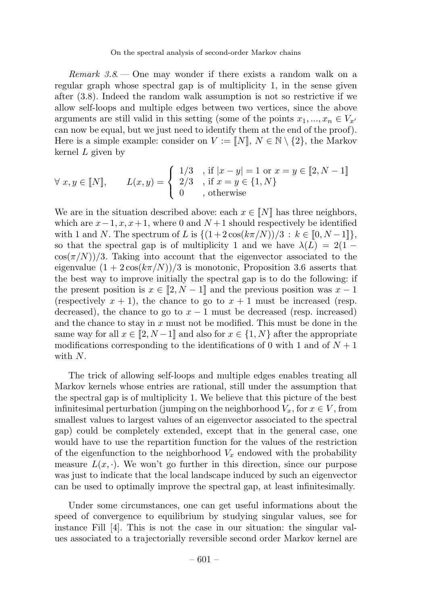Remark  $3.8$  — One may wonder if there exists a random walk on a regular graph whose spectral gap is of multiplicity 1, in the sense given after (3.8). Indeed the random walk assumption is not so restrictive if we allow self-loops and multiple edges between two vertices, since the above arguments are still valid in this setting (some of the points  $x_1, ..., x_n \in V_{x'}$ ) can now be equal, but we just need to identify them at the end of the proof). Here is a simple example: consider on  $V := [N], N \in \mathbb{N} \setminus \{2\}$ , the Markov kernel  $L$  given by

$$
\forall x, y \in \llbracket N \rrbracket, \qquad L(x, y) = \begin{cases} 1/3, & \text{if } |x - y| = 1 \text{ or } x = y \in \llbracket 2, N - 1 \rrbracket \\ 2/3, & \text{if } x = y \in \{1, N\} \\ 0, & \text{otherwise} \end{cases}
$$

We are in the situation described above: each  $x \in \llbracket N \rrbracket$  has three neighbors, which are  $x-1, x, x+1$ , where 0 and  $N+1$  should respectively be identified with 1 and N. The spectrum of L is  $\{(1+2\cos(k\pi/N))/3 : k \in [0, N-1]\},\$ so that the spectral gap is of multiplicity 1 and we have  $\lambda(L) = 2(1 \cos(\pi/N)/3$ . Taking into account that the eigenvector associated to the eigenvalue  $(1 + 2\cos(k\pi/N))/3$  is monotonic, Proposition 3.6 asserts that the best way to improve initially the spectral gap is to do the following: if the present position is  $x \in [2, N - 1]$  and the previous position was  $x - 1$ (respectively  $x + 1$ ), the chance to go to  $x + 1$  must be increased (resp. decreased), the chance to go to  $x - 1$  must be decreased (resp. increased) and the chance to stay in  $x$  must not be modified. This must be done in the same way for all  $x \in [2, N-1]$  and also for  $x \in \{1, N\}$  after the appropriate modifications corresponding to the identifications of 0 with 1 and of  $N+1$ with  $N$ .

The trick of allowing self-loops and multiple edges enables treating all Markov kernels whose entries are rational, still under the assumption that the spectral gap is of multiplicity 1. We believe that this picture of the best infinitesimal perturbation (jumping on the neighborhood  $V_x$ , for  $x \in V$ , from smallest values to largest values of an eigenvector associated to the spectral gap) could be completely extended, except that in the general case, one would have to use the repartition function for the values of the restriction of the eigenfunction to the neighborhood  $V_x$  endowed with the probability measure  $L(x, \cdot)$ . We won't go further in this direction, since our purpose was just to indicate that the local landscape induced by such an eigenvector can be used to optimally improve the spectral gap, at least infinitesimally.

Under some circumstances, one can get useful informations about the speed of convergence to equilibrium by studying singular values, see for instance Fill [4]. This is not the case in our situation: the singular values associated to a trajectorially reversible second order Markov kernel are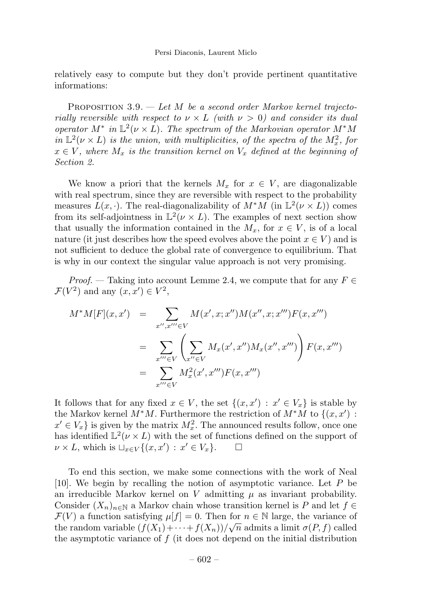relatively easy to compute but they don't provide pertinent quantitative informations:

PROPOSITION  $3.9.$  — Let M be a second order Markov kernel trajectorially reversible with respect to  $\nu \times L$  (with  $\nu > 0$ ) and consider its dual operator  $M^*$  in  $\mathbb{L}^2(\nu \times L)$ . The spectrum of the Markovian operator  $M^*M$ in  $\mathbb{L}^2(\nu \times L)$  is the union, with multiplicities, of the spectra of the  $M_x^2$ , for  $x \in V$ , where  $M_x$  is the transition kernel on  $V_x$  defined at the beginning of Section 2.

We know a priori that the kernels  $M_x$  for  $x \in V$ , are diagonalizable with real spectrum, since they are reversible with respect to the probability measures  $L(x, \cdot)$ . The real-diagonalizability of  $M^*M$  (in  $\mathbb{L}^2(\nu \times L)$ ) comes from its self-adjointness in  $\mathbb{L}^2(\nu \times L)$ . The examples of next section show that usually the information contained in the  $M_x$ , for  $x \in V$ , is of a local nature (it just describes how the speed evolves above the point  $x \in V$ ) and is not sufficient to deduce the global rate of convergence to equilibrium. That is why in our context the singular value approach is not very promising.

*Proof.* — Taking into account Lemme 2.4, we compute that for any  $F \in$  $\mathcal{F}(V^2)$  and any  $(x, x') \in V^2$ ,

$$
M^*M[F](x, x') = \sum_{x'', x''' \in V} M(x', x; x'')M(x'', x; x''')F(x, x''')
$$
  
= 
$$
\sum_{x''' \in V} \left( \sum_{x'' \in V} M_x(x', x'')M_x(x'', x''') \right) F(x, x''')
$$
  
= 
$$
\sum_{x''' \in V} M_x^2(x', x''')F(x, x''')
$$

It follows that for any fixed  $x \in V$ , the set  $\{(x, x') : x' \in V_x\}$  is stable by the Markov kernel  $M^*M$ . Furthermore the restriction of  $M^*M$  to  $\{(x, x') :$  $x' \in V_x$  is given by the matrix  $M_x^2$ . The announced results follow, once one has identified  $\mathbb{L}^2(\nu \times L)$  with the set of functions defined on the support of  $\nu \times L$ , which is  $\mathbb{L}_{x \in V} \{(x, x') : x' \in V_x\}$ .  $\nu \times L$ , which is  $\sqcup_{x \in V} \{(x, x') : x' \in V_x\}.$   $\Box$ 

To end this section, we make some connections with the work of Neal [10]. We begin by recalling the notion of asymptotic variance. Let P be an irreducible Markov kernel on V admitting  $\mu$  as invariant probability. Consider  $(X_n)_{n\in\mathbb{N}}$  a Markov chain whose transition kernel is P and let  $f \in$  $\mathcal{F}(V)$  a function satisfying  $\mu[f] = 0$ . Then for  $n \in \mathbb{N}$  large, the variance of the random variable  $(f(X_1)+\cdots+f(X_n))/\sqrt{n}$  admits a limit  $\sigma(P, f)$  called the asymptotic variance of  $f$  (it does not depend on the initial distribution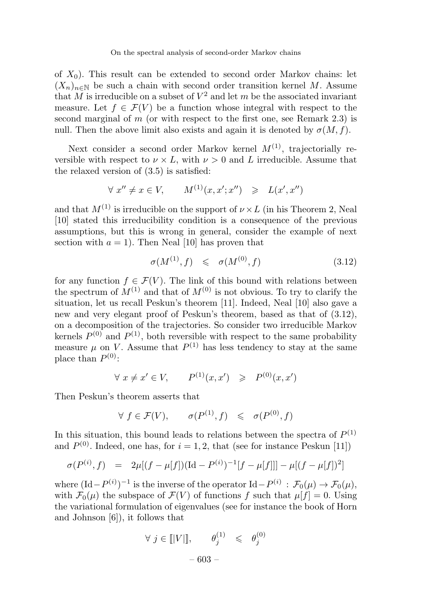of  $X_0$ ). This result can be extended to second order Markov chains: let  $(X_n)_{n\in\mathbb{N}}$  be such a chain with second order transition kernel M. Assume that M is irreducible on a subset of  $V^2$  and let m be the associated invariant measure. Let  $f \in \mathcal{F}(V)$  be a function whose integral with respect to the second marginal of m (or with respect to the first one, see Remark 2.3) is null. Then the above limit also exists and again it is denoted by  $\sigma(M, f)$ .

Next consider a second order Markov kernel  $M^{(1)}$ , trajectorially reversible with respect to  $\nu \times L$ , with  $\nu > 0$  and L irreducible. Assume that the relaxed version of (3.5) is satisfied:

$$
\forall x'' \neq x \in V, \qquad M^{(1)}(x, x'; x'') \geq L(x', x'')
$$

and that  $M^{(1)}$  is irreducible on the support of  $\nu \times L$  (in his Theorem 2, Neal [10] stated this irreducibility condition is a consequence of the previous assumptions, but this is wrong in general, consider the example of next section with  $a = 1$ ). Then Neal [10] has proven that

$$
\sigma(M^{(1)}, f) \leq \sigma(M^{(0)}, f) \tag{3.12}
$$

for any function  $f \in \mathcal{F}(V)$ . The link of this bound with relations between the spectrum of  $M^{(1)}$  and that of  $M^{(0)}$  is not obvious. To try to clarify the situation, let us recall Peskun's theorem [11]. Indeed, Neal [10] also gave a new and very elegant proof of Peskun's theorem, based as that of (3.12), on a decomposition of the trajectories. So consider two irreducible Markov kernels  $P^{(0)}$  and  $P^{(1)}$ , both reversible with respect to the same probability measure  $\mu$  on V. Assume that  $P^{(1)}$  has less tendency to stay at the same place than  $P^{(0)}$ :

$$
\forall x \neq x' \in V, \qquad P^{(1)}(x, x') \geq P^{(0)}(x, x')
$$

Then Peskun's theorem asserts that

$$
\forall f \in \mathcal{F}(V), \qquad \sigma(P^{(1)}, f) \leq \sigma(P^{(0)}, f)
$$

In this situation, this bound leads to relations between the spectra of  $P^{(1)}$ and  $P^{(0)}$ . Indeed, one has, for  $i = 1, 2$ , that (see for instance Peskun [11])

$$
\sigma(P^{(i)}, f) = 2\mu[(f - \mu[f])(\mathrm{Id} - P^{(i)})^{-1}[f - \mu[f]]] - \mu[(f - \mu[f])^2]
$$

where  $(\text{Id} - P^{(i)})^{-1}$  is the inverse of the operator  $\text{Id} - P^{(i)} : \mathcal{F}_0(\mu) \to \mathcal{F}_0(\mu)$ , with  $\mathcal{F}_0(\mu)$  the subspace of  $\mathcal{F}(V)$  of functions f such that  $\mu[f] = 0$ . Using the variational formulation of eigenvalues (see for instance the book of Horn and Johnson [6]), it follows that

$$
\forall j \in [||V||, \qquad \theta_j^{(1)} \leq \theta_j^{(0)}
$$

$$
-603 -
$$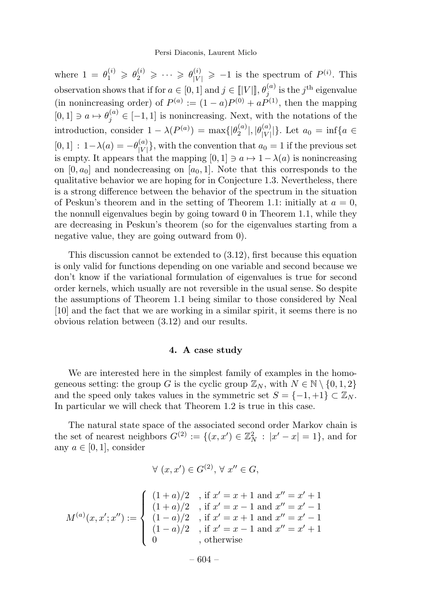where  $1 = \theta_1^{(i)} \geqslant \theta_2^{(i)} \geqslant \cdots \geqslant \theta_{|V|}^{(i)} \geqslant -1$  is the spectrum of  $P^{(i)}$ . This observation shows that if for  $a \in [0,1]$  and  $j \in [||V||]$ ,  $\theta_j^{(a)}$  is the  $j^{\text{th}}$  eigenvalue (in nonincreasing order) of  $P^{(a)} := (1-a)P^{(0)} + aP^{(1)}$ , then the mapping  $[0,1] \ni a \mapsto \theta_j^{(a)} \in [-1,1]$  is nonincreasing. Next, with the notations of the introduction, consider  $1 - \lambda(P^{(a)}) = \max\{|\theta_2^{(a)}|, |\theta_{|V|}^{(a)}\}$  $|V^{(a)}|$ . Let  $a_0 = \inf\{a \in$  $[0,1]$  :  $1-\lambda(a) = -\theta_{|V|}^{(a)}$  $\{V|V|\}$ , with the convention that  $a_0 = 1$  if the previous set is empty. It appears that the mapping  $[0, 1] \ni a \mapsto 1 - \lambda(a)$  is nonincreasing on  $[0, a_0]$  and nondecreasing on  $[a_0, 1]$ . Note that this corresponds to the qualitative behavior we are hoping for in Conjecture 1.3. Nevertheless, there is a strong difference between the behavior of the spectrum in the situation of Peskun's theorem and in the setting of Theorem 1.1: initially at  $a = 0$ , the nonnull eigenvalues begin by going toward 0 in Theorem 1.1, while they are decreasing in Peskun's theorem (so for the eigenvalues starting from a negative value, they are going outward from 0).

This discussion cannot be extended to (3.12), first because this equation is only valid for functions depending on one variable and second because we don't know if the variational formulation of eigenvalues is true for second order kernels, which usually are not reversible in the usual sense. So despite the assumptions of Theorem 1.1 being similar to those considered by Neal [10] and the fact that we are working in a similar spirit, it seems there is no obvious relation between (3.12) and our results.

## 4. A case study

We are interested here in the simplest family of examples in the homogeneous setting: the group G is the cyclic group  $\mathbb{Z}_N$ , with  $N \in \mathbb{N} \setminus \{0, 1, 2\}$ and the speed only takes values in the symmetric set  $S = \{-1, +1\} \subset \mathbb{Z}_N$ . In particular we will check that Theorem 1.2 is true in this case.

The natural state space of the associated second order Markov chain is the set of nearest neighbors  $G^{(2)} := \{(x, x') \in \mathbb{Z}_N^2 : |x' - x| = 1\}$ , and for any  $a \in [0, 1]$ , consider

$$
\forall (x, x') \in G^{(2)}, \forall x'' \in G,
$$

$$
M^{(a)}(x, x'; x'') := \begin{cases} (1+a)/2 &,\text{ if } x' = x+1 \text{ and } x'' = x'+1\\ (1+a)/2 &,\text{ if } x' = x-1 \text{ and } x'' = x'-1\\ (1-a)/2 &,\text{ if } x' = x+1 \text{ and } x'' = x'-1\\ (1-a)/2 &,\text{ if } x' = x-1 \text{ and } x'' = x'+1\\ 0 &,\text{ otherwise} \end{cases}
$$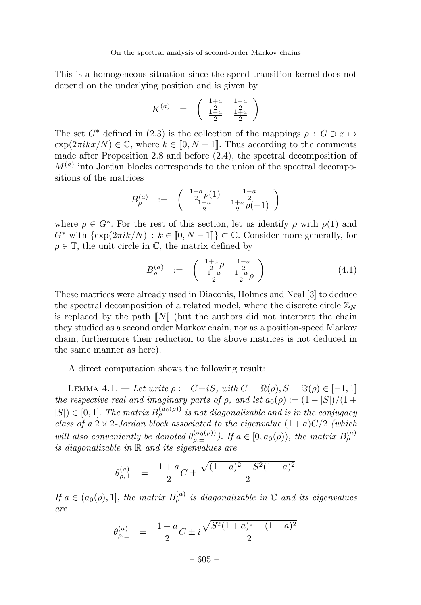This is a homogeneous situation since the speed transition kernel does not depend on the underlying position and is given by

$$
K^{(a)} \;\; = \;\; \left(\begin{array}{cc} \frac{1+a}{2} & \frac{1-a}{2} \\ \frac{1-a}{2} & \frac{1+a}{2} \end{array}\right)
$$

The set  $G^*$  defined in (2.3) is the collection of the mappings  $\rho : G \ni x \mapsto$  $\exp(2\pi i kx/N) \in \mathbb{C}$ , where  $k \in [0, N-1]$ . Thus according to the comments made after Proposition 2.8 and before (2.4), the spectral decomposition of  $M^{(a)}$  into Jordan blocks corresponds to the union of the spectral decompositions of the matrices

$$
B^{(a)}_{\rho} \ := \ \left( \begin{array}{cc} \frac{1+a}{2} \rho(1) & \frac{1-a}{2} \\ \frac{1-a}{2} & \frac{1+a}{2} \rho(-1) \end{array} \right)
$$

where  $\rho \in G^*$ . For the rest of this section, let us identify  $\rho$  with  $\rho(1)$  and  $G^*$  with  $\{\exp(2\pi i k/N) : k \in [0, N-1]\} \subset \mathbb{C}$ . Consider more generally, for  $\rho \in \mathbb{T}$ , the unit circle in  $\mathbb{C}$ , the matrix defined by

$$
B_{\rho}^{(a)} := \begin{pmatrix} \frac{1+a}{2} & \frac{1-a}{2} \\ \frac{1-a}{2} & \frac{1+a}{2} \bar{\rho} \end{pmatrix}
$$
 (4.1)

These matrices were already used in Diaconis, Holmes and Neal [3] to deduce the spectral decomposition of a related model, where the discrete circle  $\mathbb{Z}_N$ is replaced by the path  $\llbracket N \rrbracket$  (but the authors did not interpret the chain they studied as a second order Markov chain, nor as a position-speed Markov chain, furthermore their reduction to the above matrices is not deduced in the same manner as here).

A direct computation shows the following result:

LEMMA 4.1. — Let write  $\rho := C + iS$ , with  $C = \Re(\rho), S = \Im(\rho) \in [-1, 1]$ the respective real and imaginary parts of  $\rho$ , and let  $a_0(\rho) := (1 - |S|)/(1 +$  $|S| \in [0,1]$ . The matrix  $B_{\rho}^{(a_0(\rho))}$  is not diagonalizable and is in the conjugacy class of a  $2 \times 2$ -Jordan block associated to the eigenvalue  $(1+a)C/2$  (which will also conveniently be denoted  $\theta_{\rho,\pm}^{(a_0(\rho))}$ . If  $a \in [0, a_0(\rho))$ , the matrix  $B_{\rho}^{(a)}$ is diagonalizable in R and its eigenvalues are

$$
\theta_{\rho,\pm}^{(a)} = \frac{1+a}{2}C \pm \frac{\sqrt{(1-a)^2 - S^2(1+a)^2}}{2}
$$

If  $a \in (a_0(\rho), 1]$ , the matrix  $B_{\rho}^{(a)}$  is diagonalizable in  $\mathbb C$  and its eigenvalues are

$$
\theta_{\rho,\pm}^{(a)} = \frac{1+a}{2}C \pm i\frac{\sqrt{S^2(1+a)^2 - (1-a)^2}}{2}
$$

 $-605-$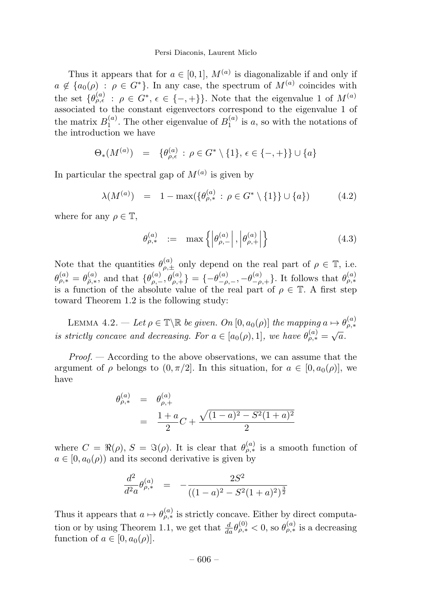#### Persi Diaconis, Laurent Miclo

Thus it appears that for  $a \in [0, 1]$ ,  $M^{(a)}$  is diagonalizable if and only if  $a \notin \{a_0(\rho) : \rho \in G^*\}.$  In any case, the spectrum of  $M^{(a)}$  coincides with the set  $\{\theta_{\rho,\epsilon}^{(a)} : \rho \in G^*, \epsilon \in \{-,+\}\}.$  Note that the eigenvalue 1 of  $M^{(a)}$ associated to the constant eigenvectors correspond to the eigenvalue 1 of the matrix  $B_1^{(a)}$ . The other eigenvalue of  $B_1^{(a)}$  is a, so with the notations of the introduction we have

$$
\Theta_*(M^{(a)}) = \{\theta_{\rho,\epsilon}^{(a)} : \rho \in G^* \setminus \{1\}, \epsilon \in \{-,+\}\} \cup \{a\}
$$

In particular the spectral gap of  $M^{(a)}$  is given by

$$
\lambda(M^{(a)}) = 1 - \max(\{\theta_{\rho,*}^{(a)} : \rho \in G^* \setminus \{1\}\} \cup \{a\})
$$
 (4.2)

where for any  $\rho \in \mathbb{T}$ ,

$$
\theta_{\rho,*}^{(a)} := \max\left\{ \left| \theta_{\rho,-}^{(a)} \right|, \left| \theta_{\rho,+}^{(a)} \right| \right\} \tag{4.3}
$$

Note that the quantities  $\theta_{\rho,\pm}^{(a)}$  only depend on the real part of  $\rho \in \mathbb{T}$ , i.e.  $\theta_{\rho,*}^{(a)} = \theta_{\bar{\rho},*}^{(a)}$ , and that  $\{\theta_{\rho,-}^{(a)}, \theta_{\rho,+}^{(a)}\} = \{-\theta_{-\rho,-}^{(a)}, -\theta_{-\rho,+}^{(a)}\}$ . It follows that  $\theta_{\rho,*}^{(a)}$ is a function of the absolute value of the real part of  $\rho \in \mathbb{T}$ . A first step toward Theorem 1.2 is the following study:

LEMMA 4.2. — Let  $\rho \in \mathbb{T} \backslash \mathbb{R}$  be given. On  $[0, a_0(\rho)]$  the mapping  $a \mapsto \theta_{\rho,*}^{(a)}$ is strictly concave and decreasing. For  $a \in [a_0(\rho), 1]$ , we have  $\theta_{\rho,*}^{(a)} = \sqrt{a}$ .

 $Proof. - According to the above observations, we can assume that the$ argument of  $\rho$  belongs to  $(0, \pi/2]$ . In this situation, for  $a \in [0, a_0(\rho)]$ , we have

$$
\theta_{\rho,*}^{(a)} = \theta_{\rho,+}^{(a)}
$$
  
= 
$$
\frac{1+a}{2}C + \frac{\sqrt{(1-a)^2 - S^2(1+a)^2}}{2}
$$

where  $C = \Re(\rho)$ ,  $S = \Im(\rho)$ . It is clear that  $\theta_{\rho,*}^{(a)}$  is a smooth function of  $a \in [0, a_0(\rho))$  and its second derivative is given by

$$
\frac{d^2}{d^2 a} \theta_{\rho,*}^{(a)} = -\frac{2S^2}{((1-a)^2 - S^2(1+a)^2)^{\frac{3}{2}}}
$$

Thus it appears that  $a \mapsto \theta_{\rho,*}^{(a)}$  is strictly concave. Either by direct computation or by using Theorem 1.1, we get that  $\frac{d}{da}\theta_{\rho,*}^{(0)} < 0$ , so  $\theta_{\rho,*}^{(a)}$  is a decreasing function of  $a \in [0, a_0(\rho)].$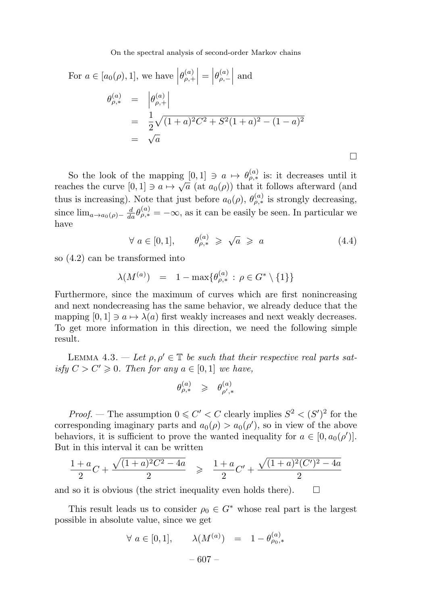For 
$$
a \in [a_0(\rho), 1]
$$
, we have  $\left| \theta_{\rho,+}^{(a)} \right| = \left| \theta_{\rho,-}^{(a)} \right|$  and  
\n
$$
\begin{aligned}\n\theta_{\rho,*}^{(a)} &= \left| \theta_{\rho,+}^{(a)} \right| \\
&= \frac{1}{2} \sqrt{(1+a)^2 C^2 + S^2 (1+a)^2 - (1-a)^2} \\
&= \sqrt{a}\n\end{aligned}
$$

So the look of the mapping  $[0,1] \ni a \mapsto \theta_{\rho,*}^{(a)}$  is: it decreases until it reaches the curve  $[0,1] \ni a \mapsto \sqrt{a}$  (at  $a_0(\rho)$ ) that it follows afterward (and thus is increasing). Note that just before  $a_0(\rho)$ ,  $\theta_{\rho,*}^{(a)}$  is strongly decreasing, since  $\lim_{a\to a_0(\rho)-}\frac{d}{da}\theta_{\rho,*}^{(a)}=-\infty$ , as it can be easily be seen. In particular we have

$$
\forall a \in [0,1], \qquad \theta_{\rho,*}^{(a)} \geqslant \sqrt{a} \geqslant a \tag{4.4}
$$

 $\Box$ 

so (4.2) can be transformed into

$$
\lambda(M^{(a)}) = 1 - \max\{\theta_{\rho,*}^{(a)} : \rho \in G^* \setminus \{1\}\}\
$$

Furthermore, since the maximum of curves which are first nonincreasing and next nondecreasing has the same behavior, we already deduce that the mapping  $[0, 1] \ni a \mapsto \lambda(a)$  first weakly increases and next weakly decreases. To get more information in this direction, we need the following simple result.

LEMMA 4.3. — Let  $\rho, \rho' \in \mathbb{T}$  be such that their respective real parts satisfy  $C > C' \geq 0$ . Then for any  $a \in [0, 1]$  we have,

$$
\theta_{\rho,*}^{(a)} \geqslant \theta_{\rho',*}^{(a)}
$$

*Proof.* – The assumption  $0 \leq C' < C$  clearly implies  $S^2 < (S')^2$  for the corresponding imaginary parts and  $a_0(\rho) > a_0(\rho')$ , so in view of the above behaviors, it is sufficient to prove the wanted inequality for  $a \in [0, a_0(\rho')]$ . But in this interval it can be written

$$
\frac{1+a}{2}C + \frac{\sqrt{(1+a)^2C^2 - 4a}}{2} \ge \frac{1+a}{2}C' + \frac{\sqrt{(1+a)^2(C')^2 - 4a}}{2}
$$

and so it is obvious (the strict inequality even holds there).  $\Box$ 

This result leads us to consider  $\rho_0 \in G^*$  whose real part is the largest possible in absolute value, since we get

$$
\forall a \in [0, 1], \qquad \lambda(M^{(a)}) = 1 - \theta_{\rho_0,*}^{(a)}
$$

$$
- 607 -
$$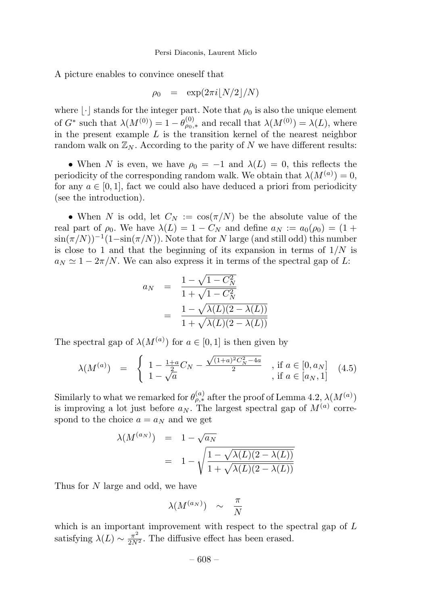A picture enables to convince oneself that

$$
\rho_0 = \exp(2\pi i \lfloor N/2 \rfloor / N)
$$

where  $\lvert \cdot \rvert$  stands for the integer part. Note that  $\rho_0$  is also the unique element of  $G^*$  such that  $\lambda(M^{(0)}) = 1 - \theta_{\rho_0,*}^{(0)}$  and recall that  $\lambda(M^{(0)}) = \lambda(L)$ , where in the present example  $L$  is the transition kernel of the nearest neighbor random walk on  $\mathbb{Z}_N$ . According to the parity of N we have different results:

• When N is even, we have  $\rho_0 = -1$  and  $\lambda(L) = 0$ , this reflects the periodicity of the corresponding random walk. We obtain that  $\lambda(M^{(a)})=0$ , for any  $a \in [0, 1]$ , fact we could also have deduced a priori from periodicity (see the introduction).

• When N is odd, let  $C_N := \cos(\pi/N)$  be the absolute value of the real part of  $\rho_0$ . We have  $\lambda(L)=1 - C_N$  and define  $a_N := a_0(\rho_0) = (1 +$  $\sin(\pi/N)$ <sup>-1</sup>(1−sin( $\pi/N$ )). Note that for N large (and still odd) this number is close to 1 and that the beginning of its expansion in terms of  $1/N$  is  $a_N \simeq 1 - 2\pi/N$ . We can also express it in terms of the spectral gap of L:

$$
a_N = \frac{1 - \sqrt{1 - C_N^2}}{1 + \sqrt{1 - C_N^2}}
$$
  
= 
$$
\frac{1 - \sqrt{\lambda(L)(2 - \lambda(L))}}{1 + \sqrt{\lambda(L)(2 - \lambda(L))}}
$$

The spectral gap of  $\lambda(M^{(a)})$  for  $a \in [0,1]$  is then given by

$$
\lambda(M^{(a)}) = \begin{cases} 1 - \frac{1+a}{2}C_N - \frac{\sqrt{(1+a)^2 C_N^2 - 4a}}{2} , & \text{if } a \in [0, a_N] \\ 1 - \sqrt{a} , & \text{if } a \in [a_N, 1] \end{cases}
$$
 (4.5)

Similarly to what we remarked for  $\theta_{\rho,*}^{(a)}$  after the proof of Lemma 4.2,  $\lambda(M^{(a)})$ is improving a lot just before  $a_N$ . The largest spectral gap of  $M^{(a)}$  correspond to the choice  $a = a_N$  and we get

$$
\begin{array}{rcl} \lambda(M^{(a_N)}) & = & 1 - \sqrt{a_N} \\ & = & 1 - \sqrt{\frac{1 - \sqrt{\lambda(L)(2 - \lambda(L))}}{1 + \sqrt{\lambda(L)(2 - \lambda(L))}}} \end{array}
$$

Thus for N large and odd, we have

$$
\lambda(M^{(a_N)}) \sim \frac{\pi}{N}
$$

which is an important improvement with respect to the spectral gap of  $L$ satisfying  $\lambda(L) \sim \frac{\pi^2}{2N^2}$ . The diffusive effect has been erased.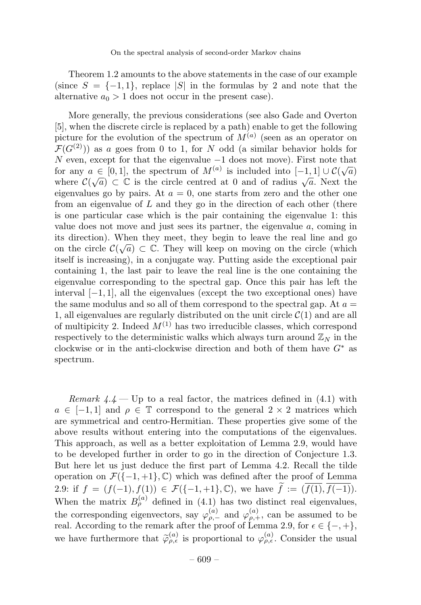Theorem 1.2 amounts to the above statements in the case of our example (since  $S = \{-1, 1\}$ , replace |S| in the formulas by 2 and note that the alternative  $a_0 > 1$  does not occur in the present case).

More generally, the previous considerations (see also Gade and Overton [5], when the discrete circle is replaced by a path) enable to get the following picture for the evolution of the spectrum of  $M^{(a)}$  (seen as an operator on  $\mathcal{F}(G^{(2)})$  as a goes from 0 to 1, for N odd (a similar behavior holds for N even, except for that the eigenvalue  $-1$  does not move). First note that for any  $a \in [0,1]$ , the spectrum of  $M^{(a)}$  is included into  $[-1,1] \cup C(\sqrt{a})$ where  $\mathcal{C}(\sqrt{a}) \subset \mathbb{C}$  is the circle centred at 0 and of radius  $\sqrt{a}$ . Next the eigenvalues go by pairs. At  $a = 0$ , one starts from zero and the other one from an eigenvalue of  $L$  and they go in the direction of each other (there is one particular case which is the pair containing the eigenvalue 1: this value does not move and just sees its partner, the eigenvalue a, coming in its direction). When they meet, they begin to leave the real line and go on the circle  $\mathcal{C}(\sqrt{a}) \subset \mathbb{C}$ . They will keep on moving on the circle (which itself is increasing), in a conjugate way. Putting aside the exceptional pair containing 1, the last pair to leave the real line is the one containing the eigenvalue corresponding to the spectral gap. Once this pair has left the interval  $[-1, 1]$ , all the eigenvalues (except the two exceptional ones) have the same modulus and so all of them correspond to the spectral gap. At  $a =$ 1, all eigenvalues are regularly distributed on the unit circle  $\mathcal{C}(1)$  and are all of multipicity 2. Indeed  $M^{(1)}$  has two irreducible classes, which correspond respectively to the deterministic walks which always turn around  $\mathbb{Z}_N$  in the clockwise or in the anti-clockwise direction and both of them have  $G^*$  as spectrum.

Remark  $4.4$  — Up to a real factor, the matrices defined in  $(4.1)$  with  $a \in [-1, 1]$  and  $\rho \in \mathbb{T}$  correspond to the general  $2 \times 2$  matrices which are symmetrical and centro-Hermitian. These properties give some of the above results without entering into the computations of the eigenvalues. This approach, as well as a better exploitation of Lemma 2.9, would have to be developed further in order to go in the direction of Conjecture 1.3. But here let us just deduce the first part of Lemma 4.2. Recall the tilde operation on  $\mathcal{F}(\{-1,+1\},\mathbb{C})$  which was defined after the proof of Lemma 2.9: if  $f = (f(-1), f(1)) \in \mathcal{F}({-1,+1}, \mathbb{C})$ , we have  $f := (f(1), f(-1))$ . When the matrix  $B_{\rho}^{(a)}$  defined in (4.1) has two distinct real eigenvalues, the corresponding eigenvectors, say  $\varphi_{\rho,-}^{(a)}$  and  $\varphi_{\rho,+}^{(a)}$ , can be assumed to be real. According to the remark after the proof of Lemma 2.9, for  $\epsilon \in \{-, +\},$ we have furthermore that  $\tilde{\varphi}_{\rho,\epsilon}^{(a)}$  is proportional to  $\varphi_{\rho,\epsilon}^{(a)}$ . Consider the usual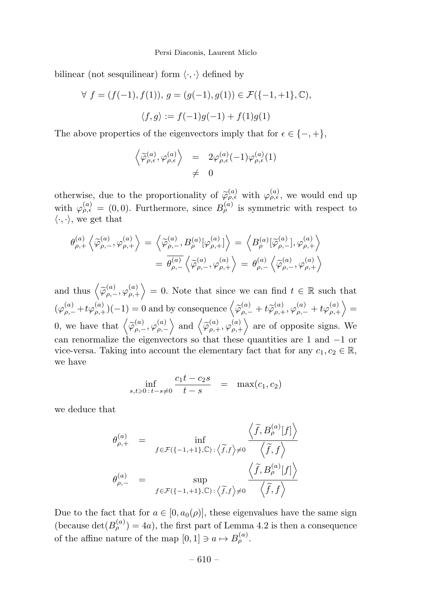#### Persi Diaconis, Laurent Miclo

bilinear (not sesquilinear) form  $\langle \cdot, \cdot \rangle$  defined by

$$
\forall f = (f(-1), f(1)), g = (g(-1), g(1)) \in \mathcal{F}(\{-1, +1\}, \mathbb{C}),
$$
  

$$
\langle f, g \rangle := f(-1)g(-1) + f(1)g(1)
$$

The above properties of the eigenvectors imply that for  $\epsilon \in \{-, +\},$ 

$$
\begin{array}{rcl}\left\langle \widetilde{\varphi}_{\rho,\epsilon}^{(a)},\varphi_{\rho,\epsilon}^{(a)}\right\rangle & = & 2\varphi_{\rho,\epsilon}^{(a)}(-1)\varphi_{\rho,\epsilon}^{(a)}(1)\\ & \neq & 0\end{array}
$$

otherwise, due to the proportionality of  $\tilde{\varphi}_{\rho,\epsilon}^{(a)}$  with  $\varphi_{\rho,\epsilon}^{(a)}$ , we would end up with  $\varphi_{\rho,\epsilon}^{(a)} = (0,0)$ . Furthermore, since  $B_{\rho}^{(a)}$  is symmetric with respect to  $\langle \cdot, \cdot \rangle$ , we get that

$$
\begin{aligned} \theta_{\rho,+}^{(a)} \left\langle \widetilde{\varphi}_{\rho,-}^{(a)}, \varphi_{\rho,+}^{(a)} \right\rangle & = \left\langle \widetilde{\varphi}_{\rho,-}^{(a)}, B_{\rho}^{(a)} [\varphi_{\rho,+}^{(a)}] \right\rangle = \left\langle B_{\rho}^{(a)} [\widetilde{\varphi}_{\rho,-}^{(a)}, \varphi_{\rho,+}^{(a)} \right\rangle \\ & = \overline{\theta_{\rho,-}^{(a)}} \left\langle \widetilde{\varphi}_{\rho,-}^{(a)}, \varphi_{\rho,+}^{(a)} \right\rangle = \theta_{\rho,-}^{(a)} \left\langle \widetilde{\varphi}_{\rho,-}^{(a)}, \varphi_{\rho,+}^{(a)} \right\rangle \end{aligned}
$$

and thus  $\left\langle \widetilde{\varphi}_{\rho,-}^{(a)},\varphi_{\rho,+}^{(a)}\right\rangle = 0$ . Note that since we can find  $t \in \mathbb{R}$  such that  $(\varphi^{(a)}_{\rho,-}+t\varphi^{(a)}_{\rho,+})(-1)=0\text{ and by consequence }\left\langle\widetilde{\varphi}^{(a)}_{\rho,-}+t\widetilde{\varphi}^{(a)}_{\rho,+},\varphi^{(a)}_{\rho,-}+t\varphi^{(a)}_{\rho,+}\right\rangle=$ 0, we have that  $\left\langle \widetilde{\varphi}_{\rho,-}^{(a)},\varphi_{\rho,-}^{(a)} \right\rangle$  $\Big\langle \big\rangle$  and  $\Big\langle \widetilde{\varphi}_{\rho,+}^{(a)}, \varphi_{\rho,+}^{(a)} \Big\rangle$  are of opposite signs. We can renormalize the eigenvectors so that these quantities are 1 and −1 or vice-versa. Taking into account the elementary fact that for any  $c_1, c_2 \in \mathbb{R}$ , we have

$$
\inf_{s,t \ge 0 \, : \, t-s \ne 0} \frac{c_1 t - c_2 s}{t - s} = \max(c_1, c_2)
$$

we deduce that

$$
\theta_{\rho,+}^{(a)} = \inf_{f \in \mathcal{F}\left(\{-1,+1\},\mathbb{C}\right) : \langle \widetilde{f},f \rangle \neq 0} \frac{\left\langle \widetilde{f}, B_{\rho}^{(a)}[f] \right\rangle}{\left\langle \widetilde{f},f \right\rangle}
$$

$$
\theta_{\rho,-}^{(a)} = \sup_{f \in \mathcal{F}\left(\{-1,+1\},\mathbb{C}\right) : \langle \widetilde{f},f \rangle \neq 0} \frac{\left\langle \widetilde{f}, B_{\rho}^{(a)}[f] \right\rangle}{\left\langle \widetilde{f},f \right\rangle}
$$

Due to the fact that for  $a \in [0, a_0(\rho)]$ , these eigenvalues have the same sign (because  $\det(B_{\rho}^{(a)}) = 4a$ ), the first part of Lemma 4.2 is then a consequence of the affine nature of the map  $[0, 1] \ni a \mapsto B_{\rho}^{(a)}$ .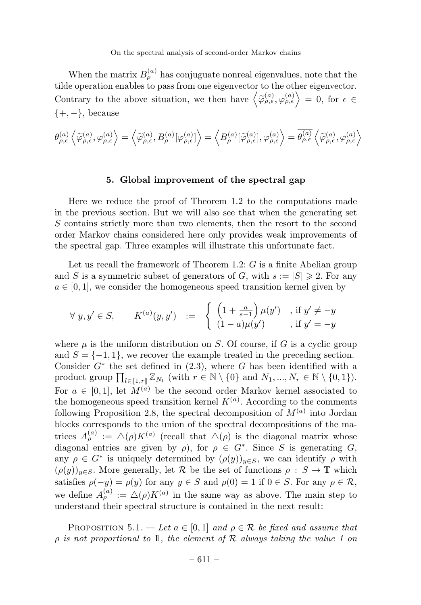When the matrix  $B_{\rho}^{(a)}$  has conjuguate nonreal eigenvalues, note that the tilde operation enables to pass from one eigenvector to the other eigenvector. Contrary to the above situation, we then have  $\left\langle \widetilde{\varphi}_{\rho,\epsilon}^{(a)},\varphi_{\rho,\epsilon}^{(a)}\right\rangle =0$ , for  $\epsilon\in$  $\{+, -\}$ , because

$$
\theta_{\rho,\epsilon}^{(a)}\left\langle \widetilde{\varphi}_{\rho,\epsilon}^{(a)},\varphi_{\rho,\epsilon}^{(a)} \right\rangle = \left\langle \widetilde{\varphi}_{\rho,\epsilon}^{(a)}, B_{\rho}^{(a)}[\varphi_{\rho,\epsilon}^{(a)}] \right\rangle = \left\langle B_{\rho}^{(a)}[\widetilde{\varphi}_{\rho,\epsilon}^{(a)}],\varphi_{\rho,\epsilon}^{(a)} \right\rangle = \overline{\theta_{\rho,\epsilon}^{(a)}} \left\langle \widetilde{\varphi}_{\rho,\epsilon}^{(a)},\varphi_{\rho,\epsilon}^{(a)} \right\rangle
$$

## 5. Global improvement of the spectral gap

Here we reduce the proof of Theorem 1.2 to the computations made in the previous section. But we will also see that when the generating set S contains strictly more than two elements, then the resort to the second order Markov chains considered here only provides weak improvements of the spectral gap. Three examples will illustrate this unfortunate fact.

Let us recall the framework of Theorem 1.2:  $G$  is a finite Abelian group and S is a symmetric subset of generators of G, with  $s := |S| \geq 2$ . For any  $a \in [0, 1]$ , we consider the homogeneous speed transition kernel given by

$$
\forall y, y' \in S, \qquad K^{(a)}(y, y') \quad := \quad \left\{ \begin{array}{ll} \left(1 + \frac{a}{s-1}\right) \mu(y') & , \text{ if } y' \neq -y \\ (1-a)\mu(y') & , \text{ if } y' = -y \end{array} \right.
$$

where  $\mu$  is the uniform distribution on S. Of course, if G is a cyclic group and  $S = \{-1, 1\}$ , we recover the example treated in the preceding section. Consider  $G^*$  the set defined in  $(2.3)$ , where G has been identified with a product group  $\prod_{l\in\llbracket 1,r\rrbracket} \mathbb{Z}_{N_l}$  (with  $r \in \mathbb{N} \setminus \{0\}$  and  $N_1, ..., N_r \in \mathbb{N} \setminus \{0,1\}$ ). For  $a \in [0,1]$ , let  $M^{(a)}$  be the second order Markov kernel associated to the homogeneous speed transition kernel  $K^{(a)}$ . According to the comments following Proposition 2.8, the spectral decomposition of  $M^{(a)}$  into Jordan blocks corresponds to the union of the spectral decompositions of the matrices  $A_{\rho}^{(a)} := \Delta(\rho)K^{(a)}$  (recall that  $\Delta(\rho)$  is the diagonal matrix whose diagonal entries are given by  $\rho$ ), for  $\rho \in G^*$ . Since S is generating G, any  $\rho \in G^*$  is uniquely determined by  $(\rho(y))_{y \in S}$ , we can identify  $\rho$  with  $(\rho(y))_{y\in S}$ . More generally, let R be the set of functions  $\rho : S \to \mathbb{T}$  which satisfies  $\rho(-y) = \overline{\rho(y)}$  for any  $y \in S$  and  $\rho(0) = 1$  if  $0 \in S$ . For any  $\rho \in \mathcal{R}$ , we define  $A_{\rho}^{(a)} := \Delta(\rho) K^{(a)}$  in the same way as above. The main step to understand their spectral structure is contained in the next result:

PROPOSITION 5.1. — Let  $a \in [0,1]$  and  $\rho \in \mathcal{R}$  be fixed and assume that  $\rho$  is not proportional to 1, the element of  $R$  always taking the value 1 on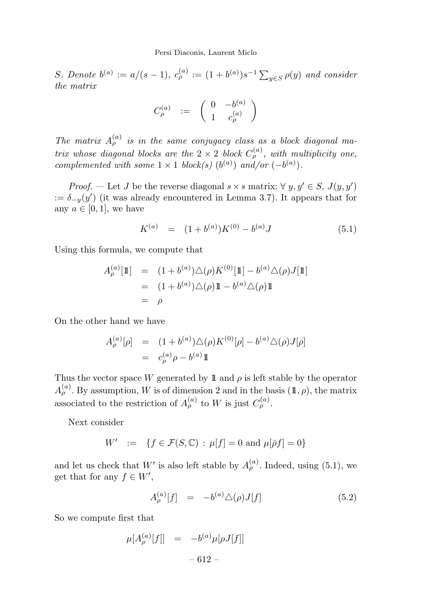S. Denote  $b^{(a)} := a/(s-1)$ ,  $c^{(a)}_{\rho} := (1 + b^{(a)})s^{-1} \sum_{y \in S} \rho(y)$  and consider the matrix

$$
C^{(a)}_\rho\ \ :=\ \ \left(\begin{array}{cc} 0 & -b^{(a)} \\[2pt] 1 & c^{(a)}_\rho \end{array}\right)
$$

The matrix  $A_{\rho}^{(a)}$  is in the same conjugacy class as a block diagonal matrix whose diagonal blocks are the  $2 \times 2$  block  $C_{\rho}^{(a)}$ , with multiplicity one, complemented with some  $1 \times 1$  block(s)  $(b^{(a)})$  and/or  $(-b^{(a)})$ .

*Proof.* — Let J be the reverse diagonal  $s \times s$  matrix:  $\forall y, y' \in S$ ,  $J(y, y')$  $:= \delta_{-y}(y')$  (it was already encountered in Lemma 3.7). It appears that for any  $a \in [0, 1]$ , we have

$$
K^{(a)} = (1 + b^{(a)})K^{(0)} - b^{(a)}J \tag{5.1}
$$

Using this formula, we compute that

$$
A_{\rho}^{(a)}[\mathbb{1}] = (1 + b^{(a)})\triangle(\rho)K^{(0)}[\mathbb{1}] - b^{(a)}\triangle(\rho)J[\mathbb{1}]
$$
  
=  $(1 + b^{(a)})\triangle(\rho)\mathbb{1} - b^{(a)}\triangle(\rho)\mathbb{1}$   
=  $\rho$ 

On the other hand we have

$$
A_{\rho}^{(a)}[\rho] = (1 + b^{(a)})\triangle(\rho)K^{(0)}[\rho] - b^{(a)}\triangle(\rho)J[\rho]
$$
  
=  $c_{\rho}^{(a)}\rho - b^{(a)}\mathbb{1}$ 

Thus the vector space W generated by 1 and  $\rho$  is left stable by the operator  $A_{\rho}^{(a)}$ . By assumption, W is of dimension 2 and in the basis  $(\mathbb{1}, \rho)$ , the matrix associated to the restriction of  $A_{\rho}^{(a)}$  to W is just  $C_{\rho}^{(a)}$ .

Next consider

$$
W' := \{ f \in \mathcal{F}(S, \mathbb{C}) : \mu[f] = 0 \text{ and } \mu[\bar{\rho}f] = 0 \}
$$

and let us check that  $W'$  is also left stable by  $A_{\rho}^{(a)}$ . Indeed, using (5.1), we get that for any  $f \in W'$ ,

$$
A_{\rho}^{(a)}[f] = -b^{(a)} \triangle (\rho) J[f] \tag{5.2}
$$

So we compute first that

$$
\mu[A_{\rho}^{(a)}[f]] = -b^{(a)}\mu[\rho J[f]] - 612 -
$$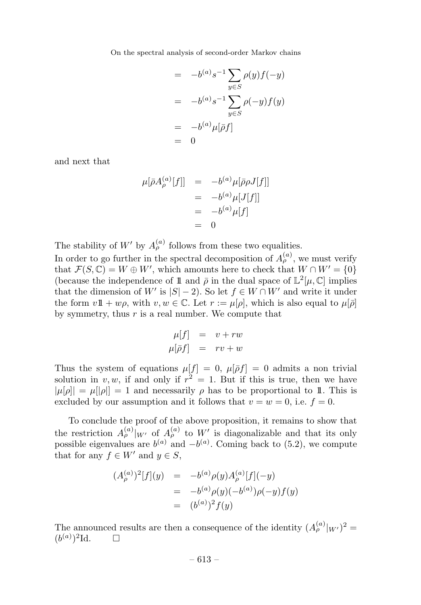$$
= -b^{(a)}s^{-1} \sum_{y \in S} \rho(y)f(-y)
$$

$$
= -b^{(a)}s^{-1} \sum_{y \in S} \rho(-y)f(y)
$$

$$
= -b^{(a)}\mu[\bar{\rho}f]
$$

$$
= 0
$$

and next that

$$
\mu[\bar{\rho}A_{\rho}^{(a)}[f]] = -b^{(a)}\mu[\bar{\rho}\rho J[f]]
$$
  
=  $-b^{(a)}\mu[J[f]]$   
=  $-b^{(a)}\mu[f]$   
= 0

The stability of  $W'$  by  $A_{\rho}^{(a)}$  follows from these two equalities.

In order to go further in the spectral decomposition of  $A_{\rho}^{(a)}$ , we must verify that  $\mathcal{F}(S,\mathbb{C}) = W \oplus W'$ , which amounts here to check that  $W \cap W' = \{0\}$ (because the independence of 1 and  $\bar{\rho}$  in the dual space of  $\mathbb{L}^2[\mu,\mathbb{C}]$  implies that the dimension of W' is  $|S| - 2$ ). So let  $f \in W \cap W'$  and write it under the form  $v1\!\!1+w\rho$ , with  $v, w \in \mathbb{C}$ . Let  $r := \mu[\rho]$ , which is also equal to  $\mu[\bar{\rho}]$ by symmetry, thus  $r$  is a real number. We compute that

$$
\mu[f] = v + rw
$$
  

$$
\mu[\bar{\rho}f] = rv + w
$$

Thus the system of equations  $\mu[f] = 0$ ,  $\mu[\bar{\rho}f] = 0$  admits a non trivial solution in v, w, if and only if  $r^2 = 1$ . But if this is true, then we have  $|\mu[\rho]| = \mu[|\rho|] = 1$  and necessarily  $\rho$  has to be proportional to 1. This is excluded by our assumption and it follows that  $v = w = 0$ , i.e.  $f = 0$ .

To conclude the proof of the above proposition, it remains to show that the restriction  $A_{\rho}^{(a)}|_{W'}$  of  $A_{\rho}^{(a)}$  to W' is diagonalizable and that its only possible eigenvalues are  $b^{(a)}$  and  $-b^{(a)}$ . Coming back to (5.2), we compute that for any  $f \in W'$  and  $y \in S$ ,

$$
(A_{\rho}^{(a)})^2[f](y) = -b^{(a)}\rho(y)A_{\rho}^{(a)}[f](-y)
$$
  
=  $-b^{(a)}\rho(y)(-b^{(a)})\rho(-y)f(y)$   
=  $(b^{(a)})^2f(y)$ 

The announced results are then a consequence of the identity  $(A_{\rho}^{(a)}|_{W'})^2 =$  $(b^{(a)})^2$ Id.  $\Box$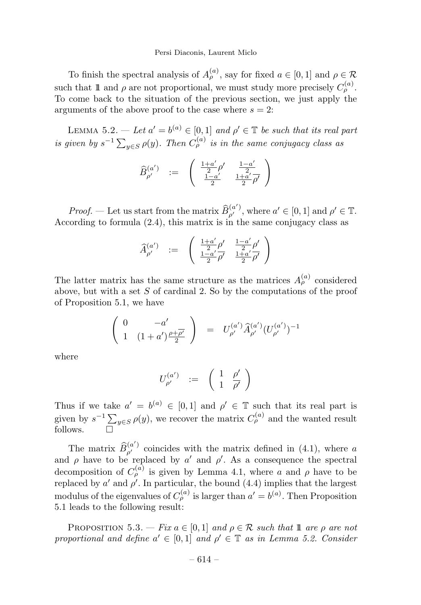To finish the spectral analysis of  $A_{\rho}^{(a)}$ , say for fixed  $a \in [0, 1]$  and  $\rho \in \mathcal{R}$ such that 1 and  $\rho$  are not proportional, we must study more precisely  $C_{\rho}^{(a)}$ . To come back to the situation of the previous section, we just apply the arguments of the above proof to the case where  $s = 2$ :

LEMMA 5.2. — Let  $a' = b^{(a)} \in [0, 1]$  and  $\rho' \in \mathbb{T}$  be such that its real part is given by  $s^{-1} \sum_{y \in S} \rho(y)$ . Then  $C_{\rho}^{(a)}$  is in the same conjugacy class as

$$
\widehat{B}_{\rho'}^{(a')} \quad := \quad \left( \begin{array}{cc} \frac{1+a'}{2}\rho' & \frac{1-a'}{2} \\ \frac{1-a'}{2} & \frac{1+a'}{2}\overline{\rho'} \end{array} \right)
$$

*Proof.* — Let us start from the matrix  $\widehat{B}_{\rho'}^{(a')}$ , where  $a' \in [0, 1]$  and  $\rho' \in \mathbb{T}$ . According to formula (2.4), this matrix is in the same conjugacy class as

$$
\widehat{A}_{\rho'}^{(a')} \quad := \quad \left( \begin{array}{cc} \frac{1+a'}{2}\rho' & \frac{1-a'}{2}\rho' \\ \frac{1-a'}{2}\rho' & \frac{1+a'}{2}\rho' \end{array} \right)
$$

The latter matrix has the same structure as the matrices  $A_{\rho}^{(a)}$  considered above, but with a set  $S$  of cardinal 2. So by the computations of the proof of Proposition 5.1, we have

$$
\left(\begin{array}{cc}0 & -a'\\ 1 & (1+a')\frac{\rho+\overline{\rho'}}{2}\end{array}\right) \;\; = \;\; U_{\rho'}^{(a')}\widehat{A}_{\rho'}^{(a')}(U_{\rho'}^{(a')})^{-1}
$$

where

$$
U_{\rho'}^{(a')}\quad :=\quad \left(\begin{array}{cc} 1 & \rho' \\ 1 & \overline{\rho'} \end{array}\right)
$$

Thus if we take  $a' = b^{(a)} \in [0,1]$  and  $\rho' \in \mathbb{T}$  such that its real part is given by  $s^{-1} \sum_{y \in S} \rho(y)$ , we recover the matrix  $C_{\rho}^{(a)}$  and the wanted result follows.  $\Box$ 

The matrix  $\widehat{B}_{\rho'}^{(a')}$  coincides with the matrix defined in (4.1), where a and  $\rho$  have to be replaced by a' and  $\rho'$ . As a consequence the spectral decomposition of  $C_{\rho}^{(a)}$  is given by Lemma 4.1, where a and  $\rho$  have to be replaced by  $a'$  and  $\rho'$ . In particular, the bound  $(4.4)$  implies that the largest modulus of the eigenvalues of  $C_{\rho}^{(a)}$  is larger than  $a' = b^{(a)}$ . Then Proposition 5.1 leads to the following result:

PROPOSITION 5.3. — Fix  $a \in [0, 1]$  and  $\rho \in \mathcal{R}$  such that 1 are  $\rho$  are not proportional and define  $a' \in [0,1]$  and  $\rho' \in \mathbb{T}$  as in Lemma 5.2. Consider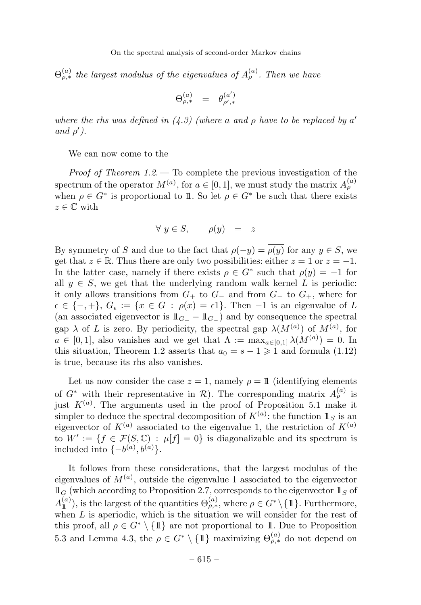$\Theta_{\rho,*}^{(a)}$  the largest modulus of the eigenvalues of  $A_{\rho}^{(a)}$ . Then we have

$$
\Theta_{\rho,*}^{(a)}\quad =\quad \theta_{\rho',*}^{(a')}
$$

where the rhs was defined in  $(4.3)$  (where a and  $\rho$  have to be replaced by a' and  $\rho'$ ).

We can now come to the

*Proof of Theorem 1.2.* — To complete the previous investigation of the spectrum of the operator  $M^{(a)}$ , for  $a \in [0,1]$ , we must study the matrix  $A_{\rho}^{(a)}$ when  $\rho \in G^*$  is proportional to 1. So let  $\rho \in G^*$  be such that there exists  $z \in \mathbb{C}$  with

$$
\forall y \in S, \qquad \rho(y) = z
$$

By symmetry of S and due to the fact that  $\rho(-y) = \overline{\rho(y)}$  for any  $y \in S$ , we get that  $z \in \mathbb{R}$ . Thus there are only two possibilities: either  $z = 1$  or  $z = -1$ . In the latter case, namely if there exists  $\rho \in G^*$  such that  $\rho(y) = -1$  for all  $y \in S$ , we get that the underlying random walk kernel L is periodic: it only allows transitions from  $G_+$  to  $G_-$  and from  $G_-$  to  $G_+$ , where for  $\epsilon \in \{-, +\}, G_{\epsilon} := \{x \in G : \rho(x) = \epsilon\}.$  Then -1 is an eigenvalue of L (an associated eigenvector is  $1\!\!1_{G_+} - 1\!\!1_{G_-}$ ) and by consequence the spectral gap  $\lambda$  of L is zero. By periodicity, the spectral gap  $\lambda(M^{(a)})$  of  $M^{(a)}$ , for  $a \in [0,1]$ , also vanishes and we get that  $\Lambda := \max_{a \in [0,1]} \lambda(M^{(a)}) = 0$ . In this situation, Theorem 1.2 asserts that  $a_0 = s - 1 \geq 1$  and formula (1.12) is true, because its rhs also vanishes.

Let us now consider the case  $z = 1$ , namely  $\rho = 11$  (identifying elements of  $G^*$  with their representative in  $\mathcal{R}$ ). The corresponding matrix  $A_{\rho}^{(a)}$  is just  $K^{(a)}$ . The arguments used in the proof of Proposition 5.1 make it simpler to deduce the spectral decomposition of  $K^{(a)}$ : the function  $\mathbb{1}_S$  is an eigenvector of  $K^{(a)}$  associated to the eigenvalue 1, the restriction of  $K^{(a)}$ to  $W' := \{ f \in \mathcal{F}(S, \mathbb{C}) : \mu[f] = 0 \}$  is diagonalizable and its spectrum is included into  $\{-b^{(a)}, b^{(a)}\}.$ 

It follows from these considerations, that the largest modulus of the eigenvalues of  $M^{(a)}$ , outside the eigenvalue 1 associated to the eigenvector  $\mathbb{1}_G$  (which according to Proposition 2.7, corresponds to the eigenvector  $\mathbb{1}_S$  of  $A_{\mathbb{1}}^{(a)}$ ), is the largest of the quantities  $\Theta_{\rho,\ast}^{(a)}$ , where  $\rho \in G^* \setminus \{\mathbb{1}\}\.$  Furthermore, when  $L$  is aperiodic, which is the situation we will consider for the rest of this proof, all  $\rho \in G^* \setminus \{\mathbb{1}\}\$ are not proportional to 11. Due to Proposition 5.3 and Lemma 4.3, the  $\rho \in G^* \setminus {\{\mathbb{1}\}}$  maximizing  $\Theta_{\rho,*}^{(a)}$  do not depend on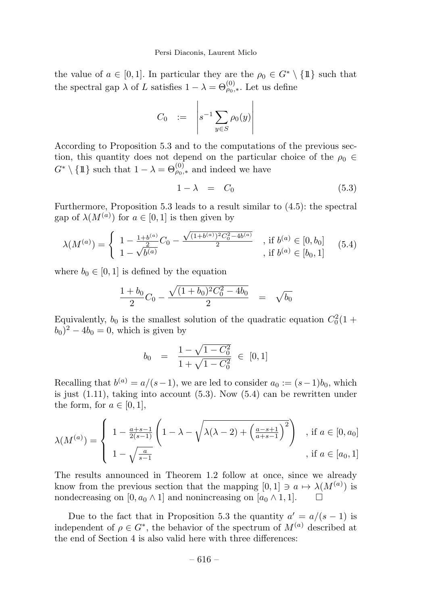the value of  $a \in [0,1]$ . In particular they are the  $\rho_0 \in G^* \setminus \{\mathbb{1}\}\$  such that the spectral gap  $\lambda$  of L satisfies  $1 - \lambda = \Theta_{\rho_0,*}^{(0)}$ . Let us define

$$
C_0 \quad := \quad \left| s^{-1} \sum_{y \in S} \rho_0(y) \right|
$$

According to Proposition 5.3 and to the computations of the previous section, this quantity does not depend on the particular choice of the  $\rho_0 \in$  $G^* \setminus {\{\mathbb{1}\}\}\$  such that  $1 - \lambda = \Theta_{\rho_0,*}^{(0)}$  and indeed we have

$$
1 - \lambda = C_0 \tag{5.3}
$$

Furthermore, Proposition 5.3 leads to a result similar to (4.5): the spectral gap of  $\lambda(M^{(a)})$  for  $a \in [0,1]$  is then given by

$$
\lambda(M^{(a)}) = \begin{cases} 1 - \frac{1 + b^{(a)}}{2}C_0 - \frac{\sqrt{(1 + b^{(a)})^2 C_0^2 - 4b^{(a)}}}{2} & , \text{if } b^{(a)} \in [0, b_0] \\ 1 - \sqrt{b^{(a)}} & , \text{if } b^{(a)} \in [b_0, 1] \end{cases} (5.4)
$$

where  $b_0 \in [0, 1]$  is defined by the equation

$$
\frac{1+b_0}{2}C_0 - \frac{\sqrt{(1+b_0)^2C_0^2 - 4b_0}}{2} = \sqrt{b_0}
$$

Equivalently,  $b_0$  is the smallest solution of the quadratic equation  $C_0^2(1 +$  $(b_0)^2 - 4b_0 = 0$ , which is given by

$$
b_0 = \frac{1 - \sqrt{1 - C_0^2}}{1 + \sqrt{1 - C_0^2}} \in [0, 1]
$$

Recalling that  $b^{(a)} = a/(s-1)$ , we are led to consider  $a_0 := (s-1)b_0$ , which is just  $(1.11)$ , taking into account  $(5.3)$ . Now  $(5.4)$  can be rewritten under the form, for  $a \in [0, 1]$ ,

$$
\lambda(M^{(a)}) = \begin{cases} 1 - \frac{a+s-1}{2(s-1)} \left( 1 - \lambda - \sqrt{\lambda(\lambda-2) + \left( \frac{a-s+1}{a+s-1} \right)^2} \right) & , \text{if } a \in [0, a_0] \\ 1 - \sqrt{\frac{a}{s-1}} & , \text{if } a \in [a_0, 1] \end{cases}
$$

The results announced in Theorem 1.2 follow at once, since we already know from the previous section that the mapping  $[0,1] \ni a \mapsto \lambda(M^{(a)})$  is nondecreasing on  $[0, a_0 \wedge 1]$  and nonincreasing on  $[a_0 \wedge 1, 1]$ .  $\square$ 

Due to the fact that in Proposition 5.3 the quantity  $a' = a/(s-1)$  is independent of  $\rho \in G^*$ , the behavior of the spectrum of  $M^{(a)}$  described at the end of Section 4 is also valid here with three differences: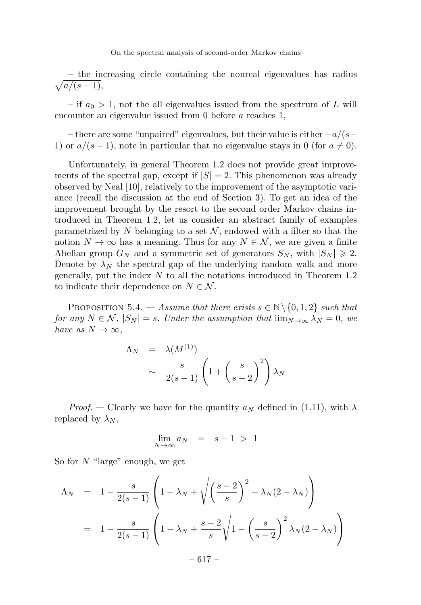$\sqrt{ }$ – the increasing circle containing the nonreal eigenvalues has radius  $a/(s-1),$ 

– if  $a_0 > 1$ , not the all eigenvalues issued from the spectrum of L will encounter an eigenvalue issued from 0 before a reaches 1,

– there are some "unpaired" eigenvalues, but their value is either  $-a/(s−$ 1) or  $a/(s-1)$ , note in particular that no eigenvalue stays in 0 (for  $a \neq 0$ ).

Unfortunately, in general Theorem 1.2 does not provide great improvements of the spectral gap, except if  $|S| = 2$ . This phenomenon was already observed by Neal [10], relatively to the improvement of the asymptotic variance (recall the discussion at the end of Section 3). To get an idea of the improvement brought by the resort to the second order Markov chains introduced in Theorem 1.2, let us consider an abstract family of examples parametrized by N belonging to a set  $\mathcal N$ , endowed with a filter so that the notion  $N \to \infty$  has a meaning. Thus for any  $N \in \mathcal{N}$ , we are given a finite Abelian group  $G_N$  and a symmetric set of generators  $S_N$ , with  $|S_N| \geq 2$ . Denote by  $\lambda_N$  the spectral gap of the underlying random walk and more generally, put the index  $N$  to all the notations introduced in Theorem 1.2 to indicate their dependence on  $N \in \mathcal{N}$ .

PROPOSITION 5.4. — Assume that there exists  $s \in \mathbb{N} \setminus \{0, 1, 2\}$  such that for any  $N \in \mathcal{N}$ ,  $|S_N| = s$ . Under the assumption that  $\lim_{N \to \infty} \lambda_N = 0$ , we have as  $N \to \infty$ ,

$$
\Lambda_N = \lambda(M^{(1)})
$$
  
 
$$
\sim \frac{s}{2(s-1)} \left(1 + \left(\frac{s}{s-2}\right)^2\right) \lambda_N
$$

*Proof.* — Clearly we have for the quantity  $a_N$  defined in (1.11), with  $\lambda$ replaced by  $\lambda_N$ ,

$$
\lim_{N \to \infty} a_N = s - 1 > 1
$$

So for N "large" enough, we get

$$
\Lambda_N = 1 - \frac{s}{2(s-1)} \left( 1 - \lambda_N + \sqrt{\left( \frac{s-2}{s} \right)^2 - \lambda_N (2 - \lambda_N)} \right)
$$
  
= 
$$
1 - \frac{s}{2(s-1)} \left( 1 - \lambda_N + \frac{s-2}{s} \sqrt{1 - \left( \frac{s}{s-2} \right)^2 \lambda_N (2 - \lambda_N)} \right)
$$

 $-617-$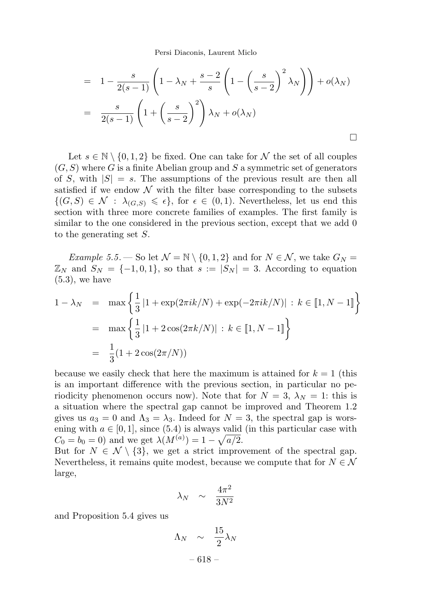Persi Diaconis, Laurent Miclo

$$
= 1 - \frac{s}{2(s-1)} \left( 1 - \lambda_N + \frac{s-2}{s} \left( 1 - \left( \frac{s}{s-2} \right)^2 \lambda_N \right) \right) + o(\lambda_N)
$$

$$
= \frac{s}{2(s-1)} \left( 1 + \left( \frac{s}{s-2} \right)^2 \right) \lambda_N + o(\lambda_N)
$$

Let  $s \in \mathbb{N} \setminus \{0, 1, 2\}$  be fixed. One can take for N the set of all couples  $(G, S)$  where G is a finite Abelian group and S a symmetric set of generators of S, with  $|S| = s$ . The assumptions of the previous result are then all satisfied if we endow  $\mathcal N$  with the filter base corresponding to the subsets  $\{(G, S) \in \mathcal{N} : \lambda_{(G, S)} \leq \epsilon\},$  for  $\epsilon \in (0, 1)$ . Nevertheless, let us end this section with three more concrete families of examples. The first family is similar to the one considered in the previous section, except that we add 0 to the generating set S.

*Example* 5.5. — So let  $\mathcal{N} = \mathbb{N} \setminus \{0, 1, 2\}$  and for  $N \in \mathcal{N}$ , we take  $G_N =$  $\mathbb{Z}_N$  and  $S_N = \{-1, 0, 1\}$ , so that  $s := |S_N| = 3$ . According to equation  $(5.3)$ , we have

$$
1 - \lambda_N = \max \left\{ \frac{1}{3} | 1 + \exp(2\pi i k/N) + \exp(-2\pi i k/N) | : k \in [1, N - 1] \right\}
$$
  
= 
$$
\max \left\{ \frac{1}{3} | 1 + 2\cos(2\pi k/N) | : k \in [1, N - 1] \right\}
$$
  
= 
$$
\frac{1}{3} (1 + 2\cos(2\pi/N))
$$

because we easily check that here the maximum is attained for  $k = 1$  (this is an important difference with the previous section, in particular no periodicity phenomenon occurs now). Note that for  $N = 3$ ,  $\lambda_N = 1$ : this is a situation where the spectral gap cannot be improved and Theorem 1.2 gives us  $a_3 = 0$  and  $\Lambda_3 = \lambda_3$ . Indeed for  $N = 3$ , the spectral gap is worsening with  $a \in [0, 1]$ , since (5.4) is always valid (in this particular case with  $C_0 = b_0 = 0$ ) and we get  $\lambda(M^{(a)}) = 1 - \sqrt{a/2}$ .

But for  $N \in \mathcal{N} \setminus \{3\}$ , we get a strict improvement of the spectral gap. Nevertheless, it remains quite modest, because we compute that for  $N \in \mathcal{N}$ large,

$$
\lambda_N \quad \sim \quad \frac{4\pi^2}{3N^2}
$$

and Proposition 5.4 gives us

$$
\Lambda_N \sim \frac{15}{2} \lambda_N
$$
  
- 618 -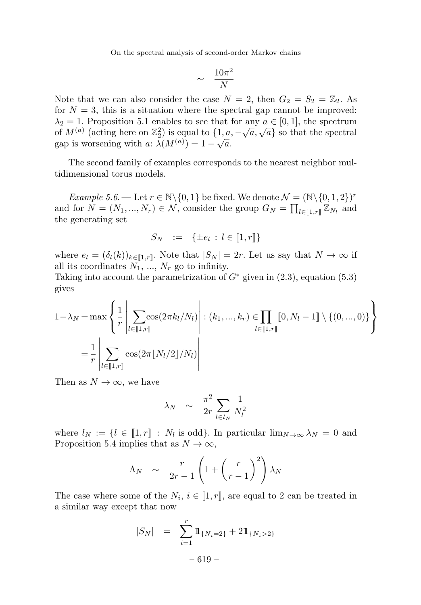$$
\sim \frac{10\pi^2}{N}
$$

Note that we can also consider the case  $N = 2$ , then  $G_2 = S_2 = \mathbb{Z}_2$ . As for  $N = 3$ , this is a situation where the spectral gap cannot be improved:  $\lambda_2 = 1$ . Proposition 5.1 enables to see that for any  $a \in [0, 1]$ , the spectrum of  $M^{(a)}$  (acting here on  $\mathbb{Z}_2^2$ ) is equal to  $\{1, a, -\sqrt{a}, \sqrt{a}\}$  so that the spectral gap is worsening with a:  $\lambda(M^{(a)}) = 1 - \sqrt{a}$ .

The second family of examples corresponds to the nearest neighbor multidimensional torus models.

Example 5.6. — Let  $r \in \mathbb{N} \setminus \{0, 1\}$  be fixed. We denote  $\mathcal{N} = (\mathbb{N} \setminus \{0, 1, 2\})^r$ and for  $N = (N_1, ..., N_r) \in \mathcal{N}$ , consider the group  $G_N = \prod_{l \in [1, r]} \mathbb{Z}_{N_l}$  and the generating set

$$
S_N \quad := \quad \{\pm e_l \, : \, l \in [\![1,r]\!]\}
$$

where  $e_l = (\delta_l(k))_{k \in [\![1,r]\!]}$ . Note that  $|S_N| = 2r$ . Let us say that  $N \to \infty$  if all its coordinates  $N_1, ..., N_r$  go to infinity.

Taking into account the parametrization of  $G^*$  given in  $(2.3)$ , equation  $(5.3)$ gives

$$
1 - \lambda_N = \max \left\{ \frac{1}{r} \left| \sum_{l \in [\![1,r]\!]} \cos(2\pi k_l / N_l) \right| : (k_1, ..., k_r) \in \prod_{l \in [\![1,r]\!]} [0, N_l - 1] \setminus \{(0, ..., 0)\} \right\}
$$

$$
= \frac{1}{r} \left| \sum_{l \in [\![1,r]\!]} \cos(2\pi \lfloor N_l / 2 \rfloor / N_l) \right|
$$

Then as  $N \to \infty$ , we have

$$
\lambda_N \quad \sim \quad \frac{\pi^2}{2r} \sum_{l \in l_N} \frac{1}{N_l^2}
$$

where  $l_N := \{l \in [1, r] : N_l \text{ is odd}\}.$  In particular  $\lim_{N \to \infty} \lambda_N = 0$  and Proposition 5.4 implies that as  $N \to \infty$ ,

$$
\Lambda_N \sim \frac{r}{2r-1} \left( 1 + \left( \frac{r}{r-1} \right)^2 \right) \lambda_N
$$

The case where some of the  $N_i$ ,  $i \in [1, r]$ , are equal to 2 can be treated in a similar way except that now

$$
|S_N| = \sum_{i=1}^r 1\!\!1_{\{N_i=2\}} + 21\!\!1_{\{N_i>2\}}
$$
  
- 619 -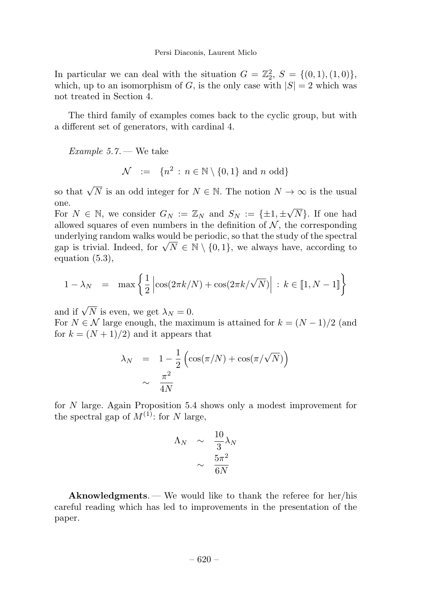In particular we can deal with the situation  $G = \mathbb{Z}_2^2$ ,  $S = \{(0, 1), (1, 0)\},$ which, up to an isomorphism of G, is the only case with  $|S| = 2$  which was not treated in Section 4.

The third family of examples comes back to the cyclic group, but with a different set of generators, with cardinal 4.

Example 5.7. — We take

$$
\mathcal{N} := \{ n^2 : n \in \mathbb{N} \setminus \{0, 1\} \text{ and } n \text{ odd} \}
$$

so that  $\sqrt{N}$  is an odd integer for  $N \in \mathbb{N}$ . The notion  $N \to \infty$  is the usual one.

For  $N \in \mathbb{N}$ , we consider  $G_N := \mathbb{Z}_N$  and  $S_N := \{\pm 1, \pm \sqrt{N}\}\$ . If one had allowed squares of even numbers in the definition of  $N$ , the corresponding underlying random walks would be periodic, so that the study of the spectral gap is trivial. Indeed, for  $\sqrt{N} \in \mathbb{N} \setminus \{0,1\}$ , we always have, according to equation (5.3),

$$
1 - \lambda_N = \max \left\{ \frac{1}{2} \left| \cos(2\pi k/N) + \cos(2\pi k/\sqrt{N}) \right| : k \in [1, N - 1] \right\}
$$

and if  $\sqrt{N}$  is even, we get  $\lambda_N = 0$ .

For  $N \in \mathcal{N}$  large enough, the maximum is attained for  $k = (N-1)/2$  (and for  $k = (N + 1)/2$  and it appears that

$$
\lambda_N = 1 - \frac{1}{2} \left( \cos(\pi/N) + \cos(\pi/\sqrt{N}) \right)
$$

$$
\sim \frac{\pi^2}{4N}
$$

for N large. Again Proposition 5.4 shows only a modest improvement for the spectral gap of  $M^{(1)}$ : for N large,

$$
\begin{array}{rcl}\n\Lambda_N & \sim & \frac{10}{3} \lambda_N \\
& \sim & \frac{5\pi^2}{6N}\n\end{array}
$$

Aknowledgments. — We would like to thank the referee for her/his careful reading which has led to improvements in the presentation of the paper.